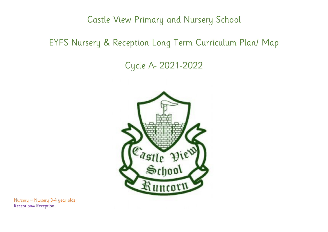Castle View Primary and Nursery School

## EYFS Nursery & Reception Long Term Curriculum Plan/ Map

## Cycle A- 2021-2022



Nursery = Nursery 3-4 year olds Reception= Reception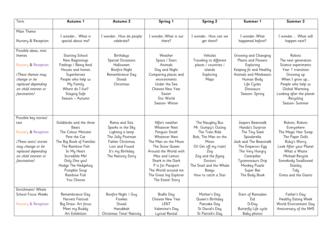| Term                                                                                                                                                            | Autumn 1                                                                                                                                                                                                                                             | Autumn 2                                                                                                                                                          | Spring 1                                                                                                                                                                                                                                                                           | Spring 2                                                                                                                                                                                                           | Summer 1                                                                                                                                                                                                                  | Summer 2                                                                                                                                                                                                             |
|-----------------------------------------------------------------------------------------------------------------------------------------------------------------|------------------------------------------------------------------------------------------------------------------------------------------------------------------------------------------------------------------------------------------------------|-------------------------------------------------------------------------------------------------------------------------------------------------------------------|------------------------------------------------------------------------------------------------------------------------------------------------------------------------------------------------------------------------------------------------------------------------------------|--------------------------------------------------------------------------------------------------------------------------------------------------------------------------------------------------------------------|---------------------------------------------------------------------------------------------------------------------------------------------------------------------------------------------------------------------------|----------------------------------------------------------------------------------------------------------------------------------------------------------------------------------------------------------------------|
| Main Theme<br>Nursery & Reception                                                                                                                               | I wonder What is<br>special about me?                                                                                                                                                                                                                | I wonder How do people<br>celebrate?                                                                                                                              | I wonderWhat is out<br>there?                                                                                                                                                                                                                                                      | I wonder How can we<br>qet there?                                                                                                                                                                                  | I wonderWhat<br>happened before?                                                                                                                                                                                          | I wonder What will<br>happen next?                                                                                                                                                                                   |
| Possible ideas, mini<br>themes<br>Nursery & Reception<br>(These themes may<br>change or be<br>replaced depending<br>on child interest or<br>fascination)        | <b>Starting School</b><br>New Beginnings<br>Feelings / Being kind<br>Houses and homes<br>Superheroes<br>People who help us<br>My Family<br>Where do I live?<br>Staying Safe<br>Season – Autumn                                                       | Birthdays<br>Special Occasions<br>Halloween<br><b>Bonfire Night</b><br>Remembrance Day<br>Diwali<br>Christmas                                                     | Weather<br>Space / Stars<br>Animals<br>Day and Night<br>Comparing places and<br>environments<br>Under the Sea<br>Chinese New Year<br>Easter<br>Our World<br>Season-Winter                                                                                                          | Vehicles<br>Traveling to different<br>places / countries /<br>islands<br>Exploring<br>Maps                                                                                                                         | Growing and Changing<br>Plants and Flowers<br>Exploring<br>Keeping fit and Healthy<br>Animals and Minibeasts<br>Human Body<br>Life Cycles<br>Dinosaurs<br>Season-Spring                                                   | Robots<br>The next generation<br>Science experiments<br>Year 1 transition<br>Growing up<br>When I grow up<br>People who help us<br>Global Warming<br>Looking after the planet<br>Recycling<br>Season-Summer          |
| Possible key stories/<br>text<br>Nursery & Reception<br>(These texts/ stories<br>may change or be<br>replaced depending<br>on child interest or<br>fascination) | Goldilocks and the three<br><b>Bears</b><br>The Colour Monster<br>Pete the Cat<br>The Big Book of Families<br>The Rainbow Fish<br>In My Heart<br>Incredible Me!<br>Only One you!<br>Hodge The Hedgehog<br>Pumpkin Soup<br>Rainbow Fish<br>You Choose | Rama and Sita<br>Sparks in the Sky<br>Lighting a lamp<br>The Jolly Postman<br><b>Father Christmas</b><br>Lost and Found<br>It's my Birthday<br>The Nativity Story | Alfie's weather<br><b>Whatever Next</b><br>Penguin Small<br><b>Whatever Next</b><br>The Man on the Moon<br>The Snow Queen<br>Around the World with<br>Max and Lemon<br>Shark in the Dark<br>P is for Passport<br>The World around me<br>The Great big Explorer<br>The Easter Story | The Naughty Bus<br>Mr. Gumpy's Outing<br>The Train Ride<br>Bob, The Man on the<br>Moon<br>Oi! Get off my train!<br>Zoq<br>Zog and the flying<br>Doctors<br>The Snail and the Whale<br>Beegu<br>How to catch a Star | Jaspers Beanstalk<br>Handa's Surprise<br>The Tiny Seed<br>Spinderella<br>Jack and The Beanstalk<br>The Emperors Egg<br>The Very Hungry<br>Caterpillar<br>Tyrannosaurs Drip<br>Monkey Puzzle<br>Super Bat<br>The Body Book | Robots, Robots<br>Everywhere<br>The Magic Hair Swap<br>The Paper Dolls<br>Ruby's Worry<br>Look After your Planet<br>What a Waste<br>Michael Recycle<br>Somebody Swallowed<br>Stanley<br>Tidy<br>Greta and the Giants |
| Enrichment/ Whole<br>School Focus Weeks<br>Nursery & Reception                                                                                                  | Remembrance Day<br>Harvest Festival<br>Big Draw- Art focus<br>Meet my Buddy<br>Art Exhibition                                                                                                                                                        | Bonfire Night / Guy<br>Fawkes<br>Diwali<br>Hanukkah<br>Christmas Time/ Nativity                                                                                   | Bodhi Day<br>Chinese New Year<br>LENT<br>Valentine's Day<br>Lyrical Recital                                                                                                                                                                                                        | Mother's Day<br>Queen's Birthday<br>Pancake Day<br>St David's Day<br>St Patrick's Day                                                                                                                              | Start of Ramadan<br>Eid<br>D-Day<br>Butterfly Life cycle<br>Baby photos                                                                                                                                                   | Father's Day<br>Healthy Eating Week<br>World Environment Day<br>Anniversary of the NHS                                                                                                                               |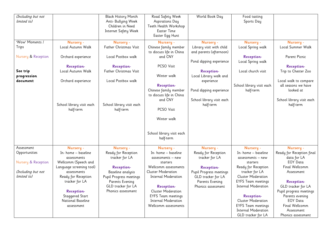| (Including but not<br>limited to)                                                       |                                                                                                                                                                                                                                        | <b>Black History Month</b><br>Anti- Bullying Week<br>Children in Need<br>Internet Safety Week                                                                                   | Road Safety Week<br>Aspirations Day<br>Teeth Health Workshop<br>Easter Time<br>Easter Egg Hunt                                                                                                                                                                                            | World Book Day                                                                                                                                                                                                                | Food tasting<br>Sports Day                                                                                                                                                                                                                                                                                                            |                                                                                                                                                                                                                                                                            |
|-----------------------------------------------------------------------------------------|----------------------------------------------------------------------------------------------------------------------------------------------------------------------------------------------------------------------------------------|---------------------------------------------------------------------------------------------------------------------------------------------------------------------------------|-------------------------------------------------------------------------------------------------------------------------------------------------------------------------------------------------------------------------------------------------------------------------------------------|-------------------------------------------------------------------------------------------------------------------------------------------------------------------------------------------------------------------------------|---------------------------------------------------------------------------------------------------------------------------------------------------------------------------------------------------------------------------------------------------------------------------------------------------------------------------------------|----------------------------------------------------------------------------------------------------------------------------------------------------------------------------------------------------------------------------------------------------------------------------|
| 'Wow' Moments /<br>Trips<br>Nursery & Reception<br>See trip<br>progression<br>document  | Nursery -<br>Local Autumn Walk<br>Orchard experience<br><b>Reception-</b><br>Local Autumn Walk<br>Orchard experience<br>School library visit each<br>half-term                                                                         | Nursery -<br>Father Christmas Visit<br>Local Postbox walk<br><b>Reception-</b><br>Father Christmas Visit<br>Local Postbox walk<br>School library visit each<br>half-term        | Nursery -<br>Chinese family member<br>to discuss life in China<br>and CNY<br>PCSO Visit<br>Winter walk<br><b>Reception-</b><br>Chinese family member<br>to discuss life in China<br>and CNY<br>PCSO Visit<br>Winter walk<br>School library visit each<br>half-term                        | Nursery -<br>Library visit with child<br>and parents (afternoon)<br>Pond dipping experience<br><b>Reception-</b><br>Local Library walk and<br>experience<br>Pond dipping experience<br>School library visit each<br>half-term | Nursery -<br>Local Spring walk<br><b>Reception-</b><br>Local Spring walk<br>Local church visit<br>School library visit each<br>half-term                                                                                                                                                                                              | Nursery -<br>Local Summer Walk<br>Parent Picnic<br><b>Reception-</b><br>Trip to Chester Zoo<br>Local walk to compare<br>all seasons we have<br>looked at<br>School library visit each<br>half-term                                                                         |
| Assessment<br>Opportunities<br>Nursery & Reception<br>(Including but not<br>limited to) | Nursery -<br>In- home - baseline<br>assessments<br>Wellcomm (Speech and<br>Language screening tool)<br>assessments<br>Ready for Reception<br>tracker for LA<br><b>Reception-</b><br>Staggered Start<br>National Baseline<br>assessment | Nursery -<br>Ready for Reception<br>tracker for LA<br>Reception-<br>Baseline analysis<br>Pupil Progress meetings<br>Parents Evening<br>GLD tracker for LA<br>Phonics assessment | Nursery -<br>In- home - baseline<br>assessments – new<br>starters<br>Wellcomm assessments<br><b>Cluster Moderation</b><br><b>Internal Moderation</b><br><b>Reception-</b><br><b>Cluster Moderation</b><br><b>EYFS Team meetings</b><br><b>Internal Moderation</b><br>Wellcomm assessments | Nursery -<br>Ready for Reception<br>tracker for LA<br><b>Reception-</b><br>Pupil Progress meetings<br>GLD tracker for LA<br>Parents Evening<br>Phonics assessment                                                             | Nursery -<br>In- home - baseline<br>assessments - new<br>starters<br>Ready for Reception<br>tracker for LA<br><b>Cluster Moderation</b><br><b>EYFS Team meetings</b><br><b>Internal Moderation</b><br><b>Reception-</b><br><b>Cluster Moderation</b><br><b>EYFS Team meetings</b><br><b>Internal Moderation</b><br>GLD tracker for LA | Nursery -<br>Ready for Reception final<br>data for LA<br><b>EOY Data</b><br>Final Wellcomm<br>Assessment<br><b>Reception-</b><br>GLD tracker for LA<br>Pupil progress meetings<br>Parents evening<br><b>EOY Data</b><br>Final Wellcomm<br>Assessment<br>Phonics assessment |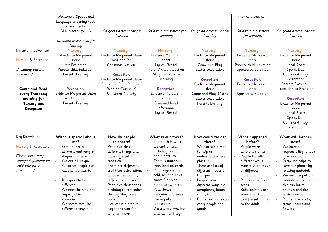|                                                                                                                                                                       | Wellcomm (Speech and<br>Language screening tool)                                                                                                                                                                                                                                                         |                                                                                                                                                                                                                                                                                                                                             |                                                                                                                                                                                                                                                                                                                               |                                                                                                                                                                                                                                                                              | Phonics assessment                                                                                                                                                                                                                                   |                                                                                                                                                                                                                                                                                               |
|-----------------------------------------------------------------------------------------------------------------------------------------------------------------------|----------------------------------------------------------------------------------------------------------------------------------------------------------------------------------------------------------------------------------------------------------------------------------------------------------|---------------------------------------------------------------------------------------------------------------------------------------------------------------------------------------------------------------------------------------------------------------------------------------------------------------------------------------------|-------------------------------------------------------------------------------------------------------------------------------------------------------------------------------------------------------------------------------------------------------------------------------------------------------------------------------|------------------------------------------------------------------------------------------------------------------------------------------------------------------------------------------------------------------------------------------------------------------------------|------------------------------------------------------------------------------------------------------------------------------------------------------------------------------------------------------------------------------------------------------|-----------------------------------------------------------------------------------------------------------------------------------------------------------------------------------------------------------------------------------------------------------------------------------------------|
|                                                                                                                                                                       | assessments<br>GLD tracker for LA<br>On-going assessment for<br>learning                                                                                                                                                                                                                                 | On-going assessment for<br>learning                                                                                                                                                                                                                                                                                                         | On-going assessment for<br>learning                                                                                                                                                                                                                                                                                           | On-going assessment for<br>learning                                                                                                                                                                                                                                          | On-going assessment<br>for learning                                                                                                                                                                                                                  | On-going assessment for<br>learning                                                                                                                                                                                                                                                           |
| Parental Involvement<br>Nursery & Reception<br>(Including but not<br>limited to)<br><b>Come and Read</b><br>every Thursday<br>morning for<br>Nursery and<br>Reception | Nursery -<br>2Evidence Me parent<br>share<br>Art Exhibition<br>Parent/ child induction<br>Parents Evening<br><b>Reception-</b><br>Evidence Me parent share<br>Art Exhibition<br>Parents Evening                                                                                                          | Nursery -<br>Evidence Me parent share<br>Come and Play<br>Christmas Nativity<br><b>Reception-</b><br>Evidence Me parent share<br>Come and Play- Phonics /<br>Reading (Bug club)<br>Christmas Nativity                                                                                                                                       | Nursery -<br>Evidence Me parent<br>share<br><b>Lyrical Recital</b><br>Parent/ child induction<br>Stay and Read -<br>morning<br><b>Reception-</b><br>Evidence Me parent<br>share<br>Stay and Read<br>afternoon<br>Lyrical Recital                                                                                              | Nursery -<br>Evidence Me parent<br>share<br>Come and Play<br>Easter celebration<br><b>Reception-</b><br>Evidence Me parent<br>share<br>Come and Play- Maths<br>Easter celebration<br>Parents Evening                                                                         | Nursery -<br>Evidence Me parent<br>share<br>Parent/ child induction<br>Sponsored Bike ride<br><b>Reception-</b><br>Evidence Me parent<br>share<br>Sponsored Bike ride                                                                                | Nursery -<br>Evidence Me parent<br>share<br>Lyrical Recital<br>Sports Day<br>Come and Play-<br>Celebration<br>Parents Evening -<br>Transition to Recepton<br><b>Reception-</b><br>Evidence Me parent<br>share<br>Lyrical Recital<br>Sports Day<br>Come and Play-<br>Celebration               |
| Key Knowledge                                                                                                                                                         | What is special about                                                                                                                                                                                                                                                                                    | How do people                                                                                                                                                                                                                                                                                                                               | What is out there?                                                                                                                                                                                                                                                                                                            | How could we get                                                                                                                                                                                                                                                             | What happened                                                                                                                                                                                                                                        | What will happen                                                                                                                                                                                                                                                                              |
| Nursery & Reception<br>(These ideas may<br>change depending on<br>child interest or<br><i>fascination</i> )                                                           | me?<br>Families are all<br>$\blacksquare$<br>different and vary in<br>shapes and sizes.<br>We are all unique,<br>but other people can<br>have similarities to<br>me.<br>It is good to be<br>different.<br>We must be kind and<br>respectful to<br>everyone.<br>We sometimes like<br>different things but | celebrate?<br>People celebrate<br>different things and<br>have different<br>traditions.<br>There are different /<br>traditions celebrations<br>all over the world (in<br>different countries)<br>People celebrate their<br>birthday to remember<br>the day they were<br>born.<br>Harvest is a time to<br>say thank you for<br>what we have. | The Earth is where<br>we and others,<br>including animals<br>and plants live.<br>There is more sea<br>than land on earth.<br>Polar regions are<br>cold, icy and have<br>snow. Not many<br>plants grow there.<br>Polar bears,<br>penguins and seals<br>live in polar<br>landscapes.<br>Deserts are wet, hot<br>and humid. They | there?<br>We can use a map<br>to help us<br>understand where a<br>place is.<br>There are lots of<br>different modes of<br>transport.<br>People travel in<br>different ways e.g.<br>aeroplanes, boats,<br>ships, trains.<br>Boats and ships can<br>carry people and<br>qoods. | before?<br>People wore<br>different clothes.<br>People travelled in<br>different ways.<br>Houses were made<br>of different<br>materials.<br>Plants grow from<br>seeds.<br>Baby animals are<br>sometimes known<br>as different names<br>to the adult. | next?<br>We have a<br>responsibility to look<br>after our world.<br>Recycling helps to<br>save our planet by<br>re-using materials.<br>We need to put our<br>rubbish in the bin as<br>this can harm<br>animals and the<br>environment.<br>Plants have roots,<br>stems, leaves and<br>flowers. |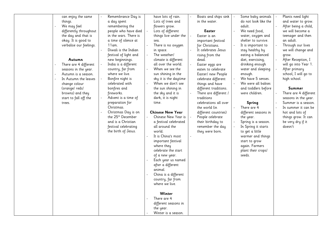| can enjoy the same      | Remembrance Day is            | have lots of rain.      | Boats and ships sink  | Some baby animals    | Plants need light     |
|-------------------------|-------------------------------|-------------------------|-----------------------|----------------------|-----------------------|
| things.                 | a day spent                   | Lots of trees and       | in the water.         | do not look like the | and water to grow.    |
| We may feel             | remembering the               | flowers grow.           |                       | adult.               | After being a child,  |
| differently throughout  | people who have died          | Lots of different       | Easter                | We need food,        | we will become a      |
| the day and that is     | in the wars. There is         | things live under the   | Easter is an          | water, oxygen and    | teenager and then     |
| okay. It is good to     | a time of silence at          | sea.                    | important festival    | shelter to survive.  | an adult.             |
| verbalise our feelings. | 11 am.                        | There is no oxygen      | for Christians.       | It is important to   | Through our lives     |
|                         | Diwali is the Indian          | in space.               | It celebrates Jesus   | stay healthy by      | we will change and    |
|                         | festival of light and         | The weather/            | rising from the       | eating a balanced    | grow.                 |
| Autumn                  | new beginnings.               | climate is different    | dead.                 | diet, exercising,    | After Reception, I    |
| There are 4 different   | India is a different          | all over the world.     | Easter eggs are       | drinking enough      | will go into Year 1.  |
| seasons in the year.    | country, far from             | When we see the         | eaten to celebrate    | water and sleeping   | After primary         |
| Autumn is a season.     | where we live.                | sun shining in the      | Easter/ new People    | enough.              | school, I will go to  |
| In Autumn the leaves    | Bonfire night is              | sky it is the daytime   | celebrate different   | We have 5 senses.    | high school.          |
| change colour           | celebrated with               | When we don't see       | things and have       | We were all babies   |                       |
| (orange/reds/           | bonfires and                  | the sun shining in      | different traditions. | and toddlers before  | Summer                |
| browns) and they        | fireworks.                    | the sky and it is       | There are different / | were children.       | There are 4 different |
| start to fall off the   | Advent is a time of           | dark, it is night       | traditions            |                      | seasons in the year.  |
| trees.                  | preparation for               | time.                   | celebrations all over | Spring               | Summer is a season.   |
|                         | Christmas.                    |                         | the world (in         | There are 4          | In summer it can be   |
|                         | Christmas Day is on           | <b>Chinese New Year</b> | different countries)  | different seasons in | hot and lots of       |
|                         | the 25 <sup>th</sup> December | Chinese New Year is     | People celebrate      | the year.            | things grow. It can   |
|                         | and is a Christian            | a festival celebrated   | their birthday to     | Spring is a season.  | be very dry if it     |
|                         | festival celebrating          | all around the          | remember the day      | In Spring it starts  | doesn't               |
|                         | the birth of Jesus.           | world.                  | they were born.       | to get a little      |                       |
|                         |                               | It is China's most      |                       | warmer and things    |                       |
|                         |                               | important festival      |                       | start to grow        |                       |
|                         |                               | where they              |                       | again. Farmers       |                       |
|                         |                               |                         |                       |                      |                       |
|                         |                               | celebrate the start     |                       | plant their crops/   |                       |
|                         |                               | of a new year.          |                       | seeds.               |                       |
|                         |                               | Each year us named      |                       |                      |                       |
|                         |                               | after a different       |                       |                      |                       |
|                         |                               | animal.                 |                       |                      |                       |
|                         |                               | China is a different    |                       |                      |                       |
|                         |                               | country, far from       |                       |                      |                       |
|                         |                               | where we live.          |                       |                      |                       |
|                         |                               |                         |                       |                      |                       |
|                         |                               | Winter                  |                       |                      |                       |
|                         |                               | There are 4             |                       |                      |                       |
|                         |                               | different seasons in    |                       |                      |                       |
|                         |                               | the year.               |                       |                      |                       |
|                         |                               | Winter is a season.     |                       |                      |                       |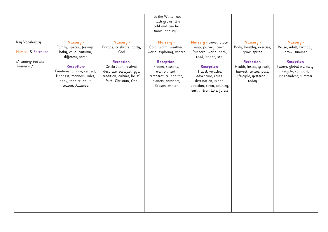|                                   |                            |                                  | In the Winter not        |                            |                          |                         |
|-----------------------------------|----------------------------|----------------------------------|--------------------------|----------------------------|--------------------------|-------------------------|
|                                   |                            |                                  | much grows. It is        |                            |                          |                         |
|                                   |                            |                                  | cold and can be          |                            |                          |                         |
|                                   |                            |                                  | snowy and icy.           |                            |                          |                         |
|                                   |                            |                                  |                          |                            |                          |                         |
| Key Vocabulary                    | Nursery -                  | Nursery -                        | Nursery -                | Nursery - travel, place,   | Nursery -                | Nursery -               |
|                                   |                            |                                  | Cold, warm, weather,     |                            |                          |                         |
| Nursery & Reception               | Family, special, feelings, | Parade, celebrate, party,<br>God |                          | map, journey, town,        | Body, healthy, exercise, | Reuse, adult, birthday, |
|                                   | baby, child, Autumn,       |                                  | world, exploring, winter | Runcorn, world, path,      | grow, spring             | grow, summer            |
|                                   | different, same            |                                  |                          | road, bridge, sea,         |                          |                         |
| (Including but not<br>limited to) |                            | Reception-                       | Reception-               |                            | Reception-               | <b>Reception-</b>       |
|                                   | <b>Reception-</b>          | Celebration, festival,           | Frozen, seasons,         | <b>Reception-</b>          | Health, insect, growth,  | Future, global warming, |
|                                   | Emotions, unique, respect, | decorate, banquet, gift,         | environment,             | Travel, vehicles,          | harvest, senses, past,   | recycle, compost,       |
|                                   | kindness, manners, rules,  | tradition, culture, belief,      | temperature, habitat,    | adventure, route,          | life-cycle, yesterday,   | independent, summer     |
|                                   | baby, toddler, adult,      | faith, Christian, God            | planets, passport,       | destination, island,       | today                    |                         |
|                                   | season, Autumn.            |                                  | Season, winter           | direction, town, country,  |                          |                         |
|                                   |                            |                                  |                          | earth, river, lake, forest |                          |                         |
|                                   |                            |                                  |                          |                            |                          |                         |
|                                   |                            |                                  |                          |                            |                          |                         |
|                                   |                            |                                  |                          |                            |                          |                         |
|                                   |                            |                                  |                          |                            |                          |                         |
|                                   |                            |                                  |                          |                            |                          |                         |
|                                   |                            |                                  |                          |                            |                          |                         |
|                                   |                            |                                  |                          |                            |                          |                         |
|                                   |                            |                                  |                          |                            |                          |                         |
|                                   |                            |                                  |                          |                            |                          |                         |
|                                   |                            |                                  |                          |                            |                          |                         |
|                                   |                            |                                  |                          |                            |                          |                         |
|                                   |                            |                                  |                          |                            |                          |                         |
|                                   |                            |                                  |                          |                            |                          |                         |
|                                   |                            |                                  |                          |                            |                          |                         |
|                                   |                            |                                  |                          |                            |                          |                         |
|                                   |                            |                                  |                          |                            |                          |                         |
|                                   |                            |                                  |                          |                            |                          |                         |
|                                   |                            |                                  |                          |                            |                          |                         |
|                                   |                            |                                  |                          |                            |                          |                         |
|                                   |                            |                                  |                          |                            |                          |                         |
|                                   |                            |                                  |                          |                            |                          |                         |
|                                   |                            |                                  |                          |                            |                          |                         |
|                                   |                            |                                  |                          |                            |                          |                         |
|                                   |                            |                                  |                          |                            |                          |                         |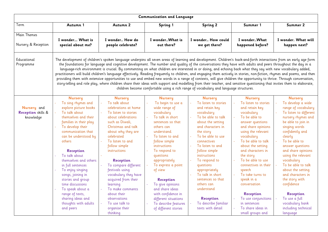|                                                       | <b>Communication and Language</b>                                                                                                                                                                                                                                                                                                                                                                                                                                                  |                                                                                                                                                                                                                                                                                                                                                                                                                                                                                                                                                                                                                                                                                                                                                                                                                                                                                                                                                                                                                             |                                                                                                                                                                                                                                                                                                                                                                                                                                               |                                                                                                                                                                                                                                                                                                                                                                                                                                   |                                                                                                                                                                                                                                                                                                                                                                                                                                                                 |                                                                                                                                                                                                                                                                                                                                                                                                                                                                           |
|-------------------------------------------------------|------------------------------------------------------------------------------------------------------------------------------------------------------------------------------------------------------------------------------------------------------------------------------------------------------------------------------------------------------------------------------------------------------------------------------------------------------------------------------------|-----------------------------------------------------------------------------------------------------------------------------------------------------------------------------------------------------------------------------------------------------------------------------------------------------------------------------------------------------------------------------------------------------------------------------------------------------------------------------------------------------------------------------------------------------------------------------------------------------------------------------------------------------------------------------------------------------------------------------------------------------------------------------------------------------------------------------------------------------------------------------------------------------------------------------------------------------------------------------------------------------------------------------|-----------------------------------------------------------------------------------------------------------------------------------------------------------------------------------------------------------------------------------------------------------------------------------------------------------------------------------------------------------------------------------------------------------------------------------------------|-----------------------------------------------------------------------------------------------------------------------------------------------------------------------------------------------------------------------------------------------------------------------------------------------------------------------------------------------------------------------------------------------------------------------------------|-----------------------------------------------------------------------------------------------------------------------------------------------------------------------------------------------------------------------------------------------------------------------------------------------------------------------------------------------------------------------------------------------------------------------------------------------------------------|---------------------------------------------------------------------------------------------------------------------------------------------------------------------------------------------------------------------------------------------------------------------------------------------------------------------------------------------------------------------------------------------------------------------------------------------------------------------------|
| Term                                                  | Autumn 1                                                                                                                                                                                                                                                                                                                                                                                                                                                                           | Autumn 2                                                                                                                                                                                                                                                                                                                                                                                                                                                                                                                                                                                                                                                                                                                                                                                                                                                                                                                                                                                                                    | Spring 1                                                                                                                                                                                                                                                                                                                                                                                                                                      | <b>Spring 2</b>                                                                                                                                                                                                                                                                                                                                                                                                                   | Summer 1                                                                                                                                                                                                                                                                                                                                                                                                                                                        | Summer 2                                                                                                                                                                                                                                                                                                                                                                                                                                                                  |
| Main Themes<br>Nursery & Reception                    | I wonder What is<br>special about me?                                                                                                                                                                                                                                                                                                                                                                                                                                              | I wonder How do<br>people celebrate?                                                                                                                                                                                                                                                                                                                                                                                                                                                                                                                                                                                                                                                                                                                                                                                                                                                                                                                                                                                        | I wonderWhat is<br>out there?                                                                                                                                                                                                                                                                                                                                                                                                                 | I wonder How could<br>we get there?                                                                                                                                                                                                                                                                                                                                                                                               | I wonderWhat<br>happened before?                                                                                                                                                                                                                                                                                                                                                                                                                                | I wonder. What will<br>happen next?                                                                                                                                                                                                                                                                                                                                                                                                                                       |
| Educational<br>Programme                              |                                                                                                                                                                                                                                                                                                                                                                                                                                                                                    | The development of children's spoken language underpins all seven areas of learning and development. Children's back-and-forth interactions from an early age form<br>the foundations for language and cognitive development. The number and quality of the conversations they have with adults and peers throughout the day in a<br>language-rich environment is crucial. By commenting on what children are interested in or doing, and echoing back what they say with new vocabulary added,<br>practitioners will build children's language effectively. Reading frequently to children, and engaging them actively in stories, non-fiction, rhymes and poems, and then<br>providing them with extensive opportunities to use and embed new words in a range of contexts, will give children the opportunity to thrive. Through conversation,<br>story-telling and role play, where children share their ideas with support and modelling from their teacher, and sensitive questioning that invites them to elaborate, |                                                                                                                                                                                                                                                                                                                                                                                                                                               | children become comfortable using a rich range of vocabulary and language structures.                                                                                                                                                                                                                                                                                                                                             |                                                                                                                                                                                                                                                                                                                                                                                                                                                                 |                                                                                                                                                                                                                                                                                                                                                                                                                                                                           |
| Nursery and<br><b>Reception</b> skills &<br>knowledge | <b>Nursery</b><br>To sing rhymes and<br>explore picture books<br>To talk about<br>themselves and their<br>families in their play<br>To develop their<br>communication that<br>can be understood by<br>others<br><b>Reception</b><br>To talk about<br>themselves and others<br>in full sentences<br>To enjoy singing<br>songs, joining in<br>stories and group<br>time discussions<br>To speak about a<br>range of texts,<br>sharing ideas and<br>thoughts with adults<br>and peers | <b>Nursery</b><br>To talk about<br>celebrations at home<br>To listen to stories<br>about celebrations<br>such as Diwali,<br>Christmas and talk<br>about why they are<br>celebrated<br>To listen to and<br>follow simple<br>instructions<br><b>Reception</b><br>To compare different<br>festivals using<br>vocabulary they have<br>acquired from their<br>learning<br>To make comments<br>about their<br>observations<br>To use talk to<br>organise their<br>thinking                                                                                                                                                                                                                                                                                                                                                                                                                                                                                                                                                        | <b>Nursery</b><br>To begin to use a<br>wide range of<br>vocabulary<br>To talk in short<br>sentences so that<br>others can<br>understand.<br>To listen to and<br>follow simple<br><i>instructions</i><br>To respond to<br>questions<br>appropriately<br>To express a point<br>of view<br><b>Reception</b><br>To give opinions<br>and share ideas<br>with confidence in<br>different situations<br>To describe features<br>of different stories | <b>Nursery</b><br>To listen to stories<br>and retain key<br>vocabulary<br>To be able to talk<br>about the setting<br>and characters in<br>the story<br>To be able to use<br>connectives<br>To listen to and<br>follow simple<br>instructions<br>To respond to<br>questions<br>appropriately<br>To talk in short<br>sentences so that<br>others can<br>understand<br><b>Reception</b><br>To describe familiar<br>texts with detail | <b>Nursery</b><br>To listen to stories<br>and retain key<br>vocabulary<br>To be able to<br>answer questions<br>and share opinions<br>using the relevant<br>vocabulary<br>To be able to talk<br>about the setting<br>and characters in<br>the story<br>To be able to use<br>connectives in their<br>speech<br>To take turns to<br>speak in a<br>conversation<br><b>Reception</b><br>To use conjunctions<br>in sentences<br>To share ideas in<br>small groups and | <b>Nursery</b><br>To develop a wide<br>range of vocabulary<br>To listen to different<br>nursery rhymes and<br>be able to join in<br>singing words<br>confidently and<br>clearly<br>To be able to<br>answer questions<br>and share opinions<br>using the relevant<br>vocabulary<br>To be able to talk<br>about the setting<br>and characters in<br>the story with<br>confidence<br><b>Reception</b><br>To use a full<br>vocabulary bank<br>including technical<br>language |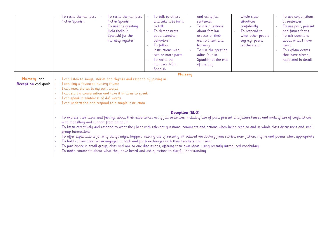|                                           | To recite the numbers<br>To recite the numbers<br>1-3 in Spanish<br>1-3 in Spanish<br>To use the greeting<br>Hola (hello in<br>Spanish) for the<br>morning register                                                                                                                                              | To talk to others<br>and using full<br>and take it in turns<br>sentences<br>to talk<br>To ask questions<br>To demonstrate<br>about familiar<br>aspects of their<br>good listening<br><b>behaviors</b><br>environment and<br>To follow<br>learning<br>To use the greeting<br>instructions with<br>adios (bye in<br>two or more parts<br>To recite the<br>Spanish) at the end<br>numbers 1-5 in<br>of the day<br>Spanish                                                                                                                                                                                                                                                                                                                                                                                                                                   | whole class<br>To use conjunctions<br>situations<br>in sentences<br>confidently<br>To use past, present<br>To respond to<br>and future forms<br>To ask questions<br>what other people<br>about what I have<br>say e.g. peers,<br>teachers etc<br>heard<br>To explain events<br>that have already<br>happened in detail |  |  |  |  |
|-------------------------------------------|------------------------------------------------------------------------------------------------------------------------------------------------------------------------------------------------------------------------------------------------------------------------------------------------------------------|----------------------------------------------------------------------------------------------------------------------------------------------------------------------------------------------------------------------------------------------------------------------------------------------------------------------------------------------------------------------------------------------------------------------------------------------------------------------------------------------------------------------------------------------------------------------------------------------------------------------------------------------------------------------------------------------------------------------------------------------------------------------------------------------------------------------------------------------------------|------------------------------------------------------------------------------------------------------------------------------------------------------------------------------------------------------------------------------------------------------------------------------------------------------------------------|--|--|--|--|
| Nursery and<br><b>Reception</b> end goals | I can listen to songs, stories and rhymes and respond by joining in<br>I can sing a favourite nursery rhyme<br>I can retell stories in my own words<br>I can start a conversation and take it in turns to speak<br>I can speak in sentences of 4-6 words<br>I can understand and respond to a simple instruction | <b>Nursery</b>                                                                                                                                                                                                                                                                                                                                                                                                                                                                                                                                                                                                                                                                                                                                                                                                                                           |                                                                                                                                                                                                                                                                                                                        |  |  |  |  |
|                                           | with modelling and support from an adult<br>group interactions                                                                                                                                                                                                                                                   | <b>Reception (ELG)</b><br>To express their ideas and feelings about their experiences using full sentences, including use of past, present and future tenses and making use of conjunctions,<br>To listen attentively and respond to what they hear with relevant questions, comments and actions when being read to and in whole class discussions and small<br>To offer explanations for why things might happen, making use of recently introduced vocabulary from stories, non-fiction, rhyme and poems when appropriate<br>To hold conversation when engaged in back and forth exchanges with their teachers and peers<br>To participate in small group, class and one to one discussions, offering their own ideas, using recently introduced vocabulary<br>To make comments about what they have heard and ask questions to clarify understanding |                                                                                                                                                                                                                                                                                                                        |  |  |  |  |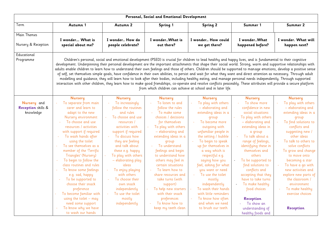|                                                       | Personal, Social and Emotional Development                                                                                                                                                                                                                                                                                                                                                                                                                                                                                                                                                                                                                                                |                                                                                                                                                                                                                                                                                                                                                                                                         |                                                                                                                                                                                                                                                                                                                                                                                                                                           |                                                                                                                                                                                                                                                                                                                                                                                                                                                        |                                                                                                                                                                                                                                                                                                                                                                                                                |                                                                                                                                                                                                                                                                                                                                                                                                       |
|-------------------------------------------------------|-------------------------------------------------------------------------------------------------------------------------------------------------------------------------------------------------------------------------------------------------------------------------------------------------------------------------------------------------------------------------------------------------------------------------------------------------------------------------------------------------------------------------------------------------------------------------------------------------------------------------------------------------------------------------------------------|---------------------------------------------------------------------------------------------------------------------------------------------------------------------------------------------------------------------------------------------------------------------------------------------------------------------------------------------------------------------------------------------------------|-------------------------------------------------------------------------------------------------------------------------------------------------------------------------------------------------------------------------------------------------------------------------------------------------------------------------------------------------------------------------------------------------------------------------------------------|--------------------------------------------------------------------------------------------------------------------------------------------------------------------------------------------------------------------------------------------------------------------------------------------------------------------------------------------------------------------------------------------------------------------------------------------------------|----------------------------------------------------------------------------------------------------------------------------------------------------------------------------------------------------------------------------------------------------------------------------------------------------------------------------------------------------------------------------------------------------------------|-------------------------------------------------------------------------------------------------------------------------------------------------------------------------------------------------------------------------------------------------------------------------------------------------------------------------------------------------------------------------------------------------------|
| Term                                                  | Autumn 1                                                                                                                                                                                                                                                                                                                                                                                                                                                                                                                                                                                                                                                                                  | Autumn 2                                                                                                                                                                                                                                                                                                                                                                                                | Spring 1                                                                                                                                                                                                                                                                                                                                                                                                                                  | <b>Spring 2</b>                                                                                                                                                                                                                                                                                                                                                                                                                                        | Summer 1                                                                                                                                                                                                                                                                                                                                                                                                       | Summer 2                                                                                                                                                                                                                                                                                                                                                                                              |
| Main Themes<br>Nursery & Reception                    | I wonder What is<br>special about me?                                                                                                                                                                                                                                                                                                                                                                                                                                                                                                                                                                                                                                                     | I wonder How do<br>people celebrate?                                                                                                                                                                                                                                                                                                                                                                    | I wonderWhat is<br>out there?                                                                                                                                                                                                                                                                                                                                                                                                             | I wonder How could<br>we get there?                                                                                                                                                                                                                                                                                                                                                                                                                    | I wonderWhat<br>happened before?                                                                                                                                                                                                                                                                                                                                                                               | I wonder. What will<br>happen next?                                                                                                                                                                                                                                                                                                                                                                   |
| Educational<br>Programme                              | development. Underpinning their personal development are the important attachments that shape their social world. Strong, warm and supportive relationships with<br>adults enable children to learn how to understand their own feelings and those of others. Children should be supported to manage emotions, develop a positive sense<br>of self, set themselves simple goals, have confidence in their own abilities, to persist and wait for what they want and direct attention as necessary. Through adult<br>interaction with other children, they learn how to make good friendships, co-operate and resolve conflicts peaceably. These attributes will provide a secure platform |                                                                                                                                                                                                                                                                                                                                                                                                         | Children's personal, social and emotional development (PSED) is crucial for children to lead healthy and happy lives, and is fundamental to their cognitive<br>modelling and guidance, they will learn how to look after their bodies, including healthy eating, and manage personal needs independently. Through supported<br>from which children can achieve at school and in later life.                                               |                                                                                                                                                                                                                                                                                                                                                                                                                                                        |                                                                                                                                                                                                                                                                                                                                                                                                                |                                                                                                                                                                                                                                                                                                                                                                                                       |
|                                                       | <b>Nursery</b>                                                                                                                                                                                                                                                                                                                                                                                                                                                                                                                                                                                                                                                                            | <b>Nursery</b>                                                                                                                                                                                                                                                                                                                                                                                          | <b>Nursery</b>                                                                                                                                                                                                                                                                                                                                                                                                                            | <b>Nursery</b>                                                                                                                                                                                                                                                                                                                                                                                                                                         | <b>Nursery</b>                                                                                                                                                                                                                                                                                                                                                                                                 | <b>Nursery</b>                                                                                                                                                                                                                                                                                                                                                                                        |
| Nursery and<br><b>Reception</b> skills &<br>knowledge | To separate from main<br>$\sim$<br>carer and learn to<br>adapt to the new<br>Nursery environment<br>To choose and use<br>$\omega$<br>resources / activities<br>with support if required<br>To wash hands after<br>using the toilet<br>To see themselves as a<br>member of the 'Terrific<br>Triangles' (Nursery)<br>To begin to follow the<br>$\bar{\phantom{a}}$<br>class routines and rules<br>To know some feelings<br>e.g. sad, happy<br>To be supported to<br>choose their snack<br>preference<br>To become familiar with<br>using the toilet $-$ may<br>need some support                                                                                                            | To increasingly<br>follow the routines<br>and rules<br>To choose and use<br>resources /<br>activities with<br>support if required<br>To discuss how<br>they are feeling<br>and talk about<br>these e.g. happy<br>To play with others<br>- elaborating play<br>ideas<br>To enjoy playing<br>with others<br>To choose their<br>own snack<br>independently<br>To use the toilet<br>mostly<br>independently | To listen to and<br>follow the rules<br>To make some<br>choices / decisions<br>for themselves<br>To play with others<br>- elaborating and<br>extending ideas in a<br>group<br>To understand<br>feelings and begin<br>to understand how<br>others may feel in<br>certain situations<br>To learn how to<br>share resources and<br>take turns (with<br>support)<br>To help new starters<br>with their snack<br>preferences<br>To know how to | To play with others<br>- elaborating and<br>extending ideas in a<br>group<br>To become more<br>outgoing with<br>unfamiliar people in<br>the setting / bubble<br>To begin to speak<br>up for themselves in<br>a way which is<br>respectful e.g.<br>saying how you<br>feel, asking for what<br>you want or need<br>To use the toilet<br>mostly<br>independently<br>To wash their hands<br>with little reminders<br>To know how often<br>and when we need | To show more<br>confidence in new<br>social situations<br>To play with others<br>- elaborating and<br>extending ideas in<br>a group<br>To talk about a<br>range of feelings,<br>identifying these in<br>themselves and<br>others<br>To be supported to<br>find solutions to<br>conflicts and<br>accepting that they<br>have to take turns<br>To make healthy<br>food choices<br><b>Reception</b><br>To show an | To play with others<br>- elaborating and<br>extending ideas in a<br>group<br>To find solutions to<br>conflicts and<br>suggesting new /<br>other ideas<br>To talk to others to<br>solve conflicts<br>To grow and change<br>to move onto<br>becoming a star<br>To have a go with<br>new activities and<br>explore new parts of<br>the classroom /<br>environment<br>To make healthy<br>exercise choices |
|                                                       | To know why we have<br>to wash our hands                                                                                                                                                                                                                                                                                                                                                                                                                                                                                                                                                                                                                                                  |                                                                                                                                                                                                                                                                                                                                                                                                         | keep my teeth clean                                                                                                                                                                                                                                                                                                                                                                                                                       | to brush our teeth                                                                                                                                                                                                                                                                                                                                                                                                                                     | understanding of<br>healthy foods and                                                                                                                                                                                                                                                                                                                                                                          | <b>Reception</b>                                                                                                                                                                                                                                                                                                                                                                                      |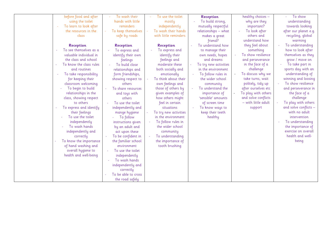| before food and after                              | To wash their                             | To use the toilet     | Reception             | healthy choices -   | To show               |
|----------------------------------------------------|-------------------------------------------|-----------------------|-----------------------|---------------------|-----------------------|
| using the toilet                                   | hands with little                         | mostly                | To build strong,      | why are they        | understanding         |
| To learn to look after                             | reminders                                 | independently         | mutually respectful   | important?          | towards looking       |
| the resources in the                               | To keep themselves                        | To wash their hands   | relationships - what  | To look after       | after our planet e.g. |
| class                                              | safe by roads                             | with little reminders | makes a great         | others and          | recycling, global     |
|                                                    |                                           |                       | friend?               | understand how      | warming               |
| <b>Reception</b>                                   | <b>Reception</b>                          | <b>Reception</b>      | To understand how     | they feel about     | To understanding      |
| To see themselves as a                             | To express and                            | To express and        | to manage their       | something           | how to look after     |
| valuable individual in                             | identify their own                        | identify their        | own needs, hopes      | To show resilience  | themselves as they    |
| the class and school                               | feelings                                  | feelings and          | and dreams            | and perseverance    | grow / move on        |
| To know the class rules                            | To build close                            | moderate these        | To try new activities | in the face of a    | To take part in       |
| and routines                                       | relationships and                         | both socially and     | in the environment    | challenge           | sports day with an    |
| To take responsibility<br>$\overline{\phantom{a}}$ | form friendships,                         | emotionally           | To follow rules in    | To discuss why we   | understanding of      |
| for keeping their                                  | showing respect to                        | To think about their  | the wider school      | take turns, wait    | winning and loosing   |
| classroom welcoming                                | others                                    | own feelings and      | community             | politely, tidy up   | To show resilience    |
| To begin to build                                  | To share resources                        | those of others by    | To understand the     | after ourselves etc | and perseverance in   |
| relationships in the                               | and toys with                             | given examples of     | importance of         | To play with others | the face of a         |
| class, showing respect                             | others                                    | how others might      | 'sensible' amounts    | and solve conflicts | challenge             |
| to others                                          | To use the toilet                         | feel in certain       | of screen time        | - with little adult | To play with others   |
| To express and identify                            | independently and                         | situations            | To know ways to       | support             | and solve conflicts - |
| their feelings                                     | mange hygiene                             | To try new activities | keep their teeth      |                     | with no adult         |
| To use the toilet                                  | To follow                                 | in the environment    | healthy               |                     | intervention          |
| independently                                      | instructions given                        | To follow rules in    |                       |                     | To understanding      |
| To wash hands                                      | by an adult and                           | the wider school      |                       |                     | the importance of     |
| independently and                                  | act upon these                            | community             |                       |                     | exercise on overall   |
| correctly                                          | To be confident in<br>$\bar{\phantom{a}}$ | To understanding      |                       |                     | health and well-      |
| To know the importance                             | the familiar school                       | the importance of     |                       |                     | being                 |
| of hand washing and                                | environment                               | tooth brushing        |                       |                     |                       |
| overall hygiene to                                 | To use the toilet                         |                       |                       |                     |                       |
| health and well-being                              | independently                             |                       |                       |                     |                       |
|                                                    | To wash hands                             |                       |                       |                     |                       |
|                                                    | independently and                         |                       |                       |                     |                       |
|                                                    | correctly                                 |                       |                       |                     |                       |
|                                                    | To be able to cross                       |                       |                       |                     |                       |
|                                                    | the road safely                           |                       |                       |                     |                       |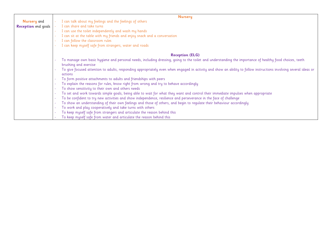|                            | <b>Nursery</b>                                                                                                                                                    |
|----------------------------|-------------------------------------------------------------------------------------------------------------------------------------------------------------------|
| <b>Nursery</b> and         | I can talk about my feelings and the feelings of others                                                                                                           |
| <b>Reception</b> end goals | I can share and take turns                                                                                                                                        |
|                            | I can use the toilet independently and wash my hands                                                                                                              |
|                            | I can sit at the table with my friends and enjoy snack and a conversation                                                                                         |
|                            | I can follow the classroom rules                                                                                                                                  |
|                            | I can keep myself safe from strangers, water and roads                                                                                                            |
|                            | <b>Reception (ELG)</b>                                                                                                                                            |
|                            | To manage own basic hygiene and personal needs, including dressing, going to the toilet and understanding the importance of healthy food choices, teeth           |
|                            | brushing and exercise                                                                                                                                             |
|                            | To give focused attention to adults, responding appropriately even when engaged in activity and show an ability to follow instructions involving several ideas or |
|                            | actions                                                                                                                                                           |
|                            | To form positive attachments to adults and friendships with peers                                                                                                 |
|                            | To explain the reasons for rules, know right from wrong and try to behave accordingly                                                                             |
|                            | To show sensitivity to their own and others needs                                                                                                                 |
|                            | To set and work towards simple goals, being able to wait for what they want and control their immediate impulses when appropriate                                 |
|                            | To be confident to try new activities and show independence, resilience and perseverance in the face of challenge                                                 |
|                            | To show an understanding of their own feelings and those of others, and begin to regulate their behaviour accordingly                                             |
|                            | To work and play cooperatively and take turns with others                                                                                                         |
|                            | To keep myself safe from strangers and articulate the reason behind this                                                                                          |
|                            | To keep myself safe from water and articulate the reason behind this                                                                                              |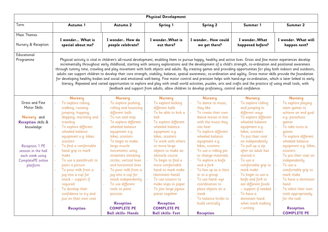|                                                                                                                                                                                      | <b>Physical Development</b>                                                                                                                                                                                                                                                                                                                                                                                                                                                                                        |                                                                                                                                                                                                                                                                                                                                                                                                                                       |                                                                                                                                                                                                                                                                                                                                                                                                                  |                                                                                                                                                                                                                                                                                                                                                                                                                                                                                                                                                                                                              |                                                                                                                                                                                                                                                                                                                                                                                              |                                                                                                                                                                                                                                                                                                                                                                               |
|--------------------------------------------------------------------------------------------------------------------------------------------------------------------------------------|--------------------------------------------------------------------------------------------------------------------------------------------------------------------------------------------------------------------------------------------------------------------------------------------------------------------------------------------------------------------------------------------------------------------------------------------------------------------------------------------------------------------|---------------------------------------------------------------------------------------------------------------------------------------------------------------------------------------------------------------------------------------------------------------------------------------------------------------------------------------------------------------------------------------------------------------------------------------|------------------------------------------------------------------------------------------------------------------------------------------------------------------------------------------------------------------------------------------------------------------------------------------------------------------------------------------------------------------------------------------------------------------|--------------------------------------------------------------------------------------------------------------------------------------------------------------------------------------------------------------------------------------------------------------------------------------------------------------------------------------------------------------------------------------------------------------------------------------------------------------------------------------------------------------------------------------------------------------------------------------------------------------|----------------------------------------------------------------------------------------------------------------------------------------------------------------------------------------------------------------------------------------------------------------------------------------------------------------------------------------------------------------------------------------------|-------------------------------------------------------------------------------------------------------------------------------------------------------------------------------------------------------------------------------------------------------------------------------------------------------------------------------------------------------------------------------|
| Term                                                                                                                                                                                 | Autumn 1                                                                                                                                                                                                                                                                                                                                                                                                                                                                                                           | Autumn 2                                                                                                                                                                                                                                                                                                                                                                                                                              | Spring 1                                                                                                                                                                                                                                                                                                                                                                                                         | <b>Spring 2</b>                                                                                                                                                                                                                                                                                                                                                                                                                                                                                                                                                                                              | Summer 1                                                                                                                                                                                                                                                                                                                                                                                     | Summer 2                                                                                                                                                                                                                                                                                                                                                                      |
| Main Themes<br>Nursery & Reception                                                                                                                                                   | I wonder What is<br>special about me?                                                                                                                                                                                                                                                                                                                                                                                                                                                                              | I wonder How do<br>people celebrate?                                                                                                                                                                                                                                                                                                                                                                                                  | I wonderWhat is<br>out there?                                                                                                                                                                                                                                                                                                                                                                                    | I wonder How could<br>we get there?                                                                                                                                                                                                                                                                                                                                                                                                                                                                                                                                                                          | I wonderWhat<br>happened before?                                                                                                                                                                                                                                                                                                                                                             | I wonder. What will<br>happen next?                                                                                                                                                                                                                                                                                                                                           |
| Educational<br>Programme                                                                                                                                                             | through tummy time, crawling and play movement with both objects and adults. By creating games and providing opportunities for play both indoors and outdoors,<br>adults can support children to develop their core strength, stability, balance, spatial awareness, co-ordination and agility. Gross motor skills provide the foundation<br>for developing healthy bodies and social and emotional well-being. Fine motor control and precision helps with hand-eye co-ordination, which is later linked to early |                                                                                                                                                                                                                                                                                                                                                                                                                                       |                                                                                                                                                                                                                                                                                                                                                                                                                  | Physical activity is vital in children's all-round development, enabling them to pursue happy, healthy and active lives. Gross and fine motor experiences develop<br>incrementally throughout early childhood, starting with sensory explorations and the development of a child's strength, co-ordination and positional awareness<br>literacy. Repeated and varied opportunities to explore and play with small world activities, puzzles, arts and crafts and the practice of using small tools, with<br>feedback and support from adults, allow children to develop proficiency, control and confidence. |                                                                                                                                                                                                                                                                                                                                                                                              |                                                                                                                                                                                                                                                                                                                                                                               |
|                                                                                                                                                                                      | <b>Nursery</b>                                                                                                                                                                                                                                                                                                                                                                                                                                                                                                     | <b>Nursery</b>                                                                                                                                                                                                                                                                                                                                                                                                                        | <b>Nursery</b>                                                                                                                                                                                                                                                                                                                                                                                                   | <b>Nursery</b>                                                                                                                                                                                                                                                                                                                                                                                                                                                                                                                                                                                               | <b>Nursery</b>                                                                                                                                                                                                                                                                                                                                                                               | <b>Nursery</b>                                                                                                                                                                                                                                                                                                                                                                |
| Gross and Fine<br>Motor Skills<br>Nursery and<br><b>Reception</b> skills &<br>knowledge<br>Reception 1 PE<br>session in the hall<br>each week using<br>CompletePE online<br>platform | To explore rolling,<br>walking, running.<br>jumping, hopping,<br>skipping, marching and<br>crawling<br>To explore different<br>wheeled balance<br>equipment e.g. bikes,<br>scooters<br>To find a comfortable<br>hand grip to mark<br>make<br>To use a paintbrush to<br>paint a picture<br>To pour milk from a<br>jug into a cup for<br>snack $-$ support if<br>required<br>To develop their<br>confidence to try and                                                                                               | To explore pushing,<br>rolling and bouncing<br>different balls<br>To run and stop.<br>$\omega$<br>To explore different<br>wheeled balance<br>equipment e.g.<br>bikes, scooters<br>To begin to make<br>large muscle<br>movements using<br>streamers imitating<br>circles, vertical lines<br>and horizontal lines<br>To pour milk from a<br>jug into a cup for<br>snack independently<br>To use different<br>tools to paint<br>pictures | To explore kicking<br>different balls<br>To be able to kick a<br>ball<br>To explore different<br>wheeled balance<br>equipment e.g.<br>bikes, scooters<br>To work with others<br>to move large<br>objects to make an<br>obstacle course<br>To begin to find a<br>more comfortable<br>hand to mark make<br>(dominant hand)<br>To use scissors to<br>make snips in paper<br>To join large jigsaw<br>pieces together | To dance to music,<br>they like<br>To create their own<br>dance moves in line<br>with the music they<br>can hear<br>To explore different<br>wheeled balance<br>equipment e.g.<br>bikes, scooters<br>To use a rolling pin<br>to change materials<br>To explore a knife<br>and a fork<br>To line up as a class<br>or in a group<br>To use hand-eye<br>coordination to<br>place objects on a<br>steak                                                                                                                                                                                                           | To explore rolling<br>and jumping in<br>different ways<br>To explore different<br>wheeled balance<br>equipment e.g.<br>bikes, scooters<br>To put their coat<br>on independently<br>To pull up a zip<br>after an adult has<br>started it<br>To use a<br>comfortable grip to<br>mark make<br>To begin to use a<br>knife and fork to<br>eat different foods<br>- support if needed<br>To have a | To explore playing<br>team games to<br>achieve an end goal<br>e.g. parachute<br>games<br>To take turns in<br>games<br>To explore different<br>÷,<br>wheeled balance<br>equipment e.g. bikes,<br>scooters<br>To put their coat on<br>independently<br>To use a<br>comfortable grip to<br>mark make<br>To have a dominant<br>hand<br>To select their own<br>tools appropriately |
|                                                                                                                                                                                      | put on their own coat<br><b>Reception</b>                                                                                                                                                                                                                                                                                                                                                                                                                                                                          | <b>Reception</b><br><b>COMPLETE PE</b><br><b>Ball skills- Hands</b>                                                                                                                                                                                                                                                                                                                                                                   | <b>Reception</b><br><b>COMPLETE PE</b><br><b>Ball skills- Feet</b>                                                                                                                                                                                                                                                                                                                                               | To balance bricks to<br>build vertically<br><b>Reception</b>                                                                                                                                                                                                                                                                                                                                                                                                                                                                                                                                                 | dominant hand<br>when mark making<br>/ writing                                                                                                                                                                                                                                                                                                                                               | for the task<br><b>Reception</b><br><b>COMPLETE PE</b>                                                                                                                                                                                                                                                                                                                        |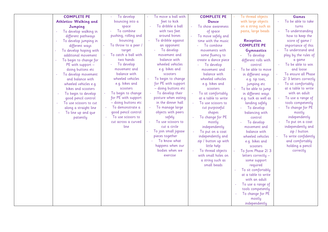| <b>COMPLETE PE</b>             | To develop           | To move a ball with  | <b>COMPLETE PE</b>      | To thread objects    | Games                  |
|--------------------------------|----------------------|----------------------|-------------------------|----------------------|------------------------|
| <b>Athletics- Walking and</b>  | bouncing into a      | feet to kick         | <b>Dance</b>            | with large objects   | To be able to take     |
| Jumping                        | space                | To dribble a ball    | To show awareness<br>÷, | on a string such as  | turns                  |
| To develop walking in          | To combine           | with two feet        | of space                | pasta, large beads   | To understanding       |
| different pathways             | pushing, rolling and | around bones         | To move safely and      |                      | how to keep the        |
| To develop jumping in          | bouncing             | To dribble against   | time with the music     | <b>Reception</b>     | score of game /        |
| different ways                 | To throw to a peer / | an opponent          | To combine              | <b>COMPLETE PE</b>   | importance of this     |
| To develop hoping with         | target               | To develop           | movements with          | <b>Gymnastics</b>    | To understand and      |
| additional movement            | To catch a ball with | movement and         | some fluency to         | To develop           | play by the rules of   |
| To begin to change for<br>÷,   | two hands            | balance with         | create a dance piece    | different rolls with | a game                 |
| PE with support -              | To develop           | wheeled vehicles     | To develop              | control              | To be able to win      |
| doing buttons etc              | movement and         | e.g. bikes and       | movement and            | To be able to move   | and loose              |
| To develop movement            | balance with         | scooters             | balance with            | in different ways    | To ensure all Phase    |
| and balance with               | wheeled vehicles     | To begin to change   | wheeled vehicles        | e.g. tip toes,       | 2/ 3 letters correctly |
| wheeled vehicles e.g.          | e.g. bikes and       | for PE with support  | e.g. bikes and          | jumping etc          | To sit comfortably     |
| bikes and scooters             | scooters             | - doing buttons etc  | scooters                | To be able to jump   | at a table to write    |
| To begin to develop            | To begin to change   | To develop their     | To sit comfortably      | in different ways    | with an adult          |
| good pencil control            | for PE with support  | posture when eating  | at a table to write     | e.g. tuck as well as | To use a range of      |
| To use scissors to cut         | - doing buttons etc  | in the dinner hall   | To use scissors to      | landing safely       | tools competently      |
| along a straight line          | To demonstrate a     | To manage large      | cut purposeful          | To develop           | To change for PE       |
| To line up and que<br>$\equiv$ | good pencil control  | objects with peers   | shapes                  | balancing with       | mostly                 |
| patiently                      | To use scissors to   | safely               | To change for PE        | control              | independently          |
|                                | cut across a curved  | To use scissors to   | mostly                  | To develop           | To put on a coat       |
|                                | line                 | cut a circle         | independently           | movement and         | independently and      |
|                                |                      | To join small jigsaw | To put on a coat        | balance with         | zip / button           |
|                                |                      | pieces together      | independently and       | wheeled vehicles     | To write confidently   |
|                                |                      | To know what         | zip / button up with    | e.g. bikes and       | and comfortably        |
|                                |                      | happens when our     | little help             | scooters             | holding a pencil       |
|                                |                      | bodies when we       | To thread objects       | To form Phase 2/3    | correctly              |
|                                |                      | exercise             | with small holes on     | letters correctly -  |                        |
|                                |                      |                      | a string such as        | some support         |                        |
|                                |                      |                      | small beads             | required             |                        |
|                                |                      |                      |                         | To sit comfortably   |                        |
|                                |                      |                      |                         | at a table to write  |                        |
|                                |                      |                      |                         | with an adult        |                        |
|                                |                      |                      |                         | To use a range of    |                        |
|                                |                      |                      |                         | tools competently    |                        |
|                                |                      |                      |                         | To change for PE     |                        |
|                                |                      |                      |                         | mostly               |                        |
|                                |                      |                      |                         | independently        |                        |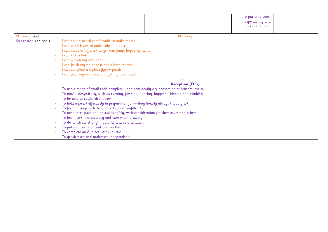|                            | To put on a coat                                                                              |  |  |  |
|----------------------------|-----------------------------------------------------------------------------------------------|--|--|--|
|                            | independently and                                                                             |  |  |  |
|                            | zip / button up                                                                               |  |  |  |
|                            |                                                                                               |  |  |  |
| Nursery and                | <b>Nursery</b>                                                                                |  |  |  |
| <b>Reception</b> end goals | I can hold a pencil comfortable to make marks                                                 |  |  |  |
|                            | I can use scissors to make snips in paper                                                     |  |  |  |
|                            | I can move in different ways- run, jump, hop, skip, climb                                     |  |  |  |
|                            | I can kick a ball                                                                             |  |  |  |
|                            | I can put on my own coat                                                                      |  |  |  |
|                            | I can finish my zip once it has it been started                                               |  |  |  |
|                            | I can complete a 6-piece jigsaw puzzle                                                        |  |  |  |
|                            | I can pour my own milk and get my own snack                                                   |  |  |  |
|                            |                                                                                               |  |  |  |
|                            | <b>Reception (ELG)</b>                                                                        |  |  |  |
|                            | To use a range of small tools completely and confidently e.g. scissors paint brushes, cutlery |  |  |  |
|                            | To move energetically, such as running, jumping, dancing, hopping, skipping and climbing      |  |  |  |
|                            | To be able to catch, kick, throw                                                              |  |  |  |
|                            | To hold a pencil effectively in preparation for writing (nearly always tripod grip)           |  |  |  |
|                            | To form a range of letters correctly and confidently                                          |  |  |  |
|                            | To negotiate space and obstacles safely, with consideration for themselves and others         |  |  |  |
|                            | To begin to show accuracy and care when drawing                                               |  |  |  |
|                            | To demonstrate strength, balance and co-ordination                                            |  |  |  |
|                            | To put on their own coat and zip this up                                                      |  |  |  |
|                            | To complete an 8- piece jigsaw puzzle                                                         |  |  |  |
|                            | To get dressed and undressed independently                                                    |  |  |  |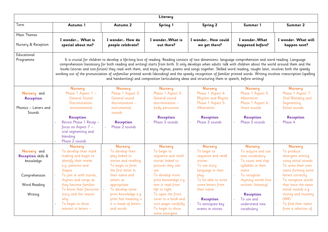|                                                                                                   |                                                                                                                                                                                                                                                                                                         |                                                                                                                                                                                                                                                                                  | Literacy                                                                                                                                                                                                                                                                                        |                                                                                                                                                                                                                                                                                                                                                                                                                                                                                                                                                                                                    |                                                                                                                                                                                                                                               |                                                                                                                                                                                                                                                                                     |
|---------------------------------------------------------------------------------------------------|---------------------------------------------------------------------------------------------------------------------------------------------------------------------------------------------------------------------------------------------------------------------------------------------------------|----------------------------------------------------------------------------------------------------------------------------------------------------------------------------------------------------------------------------------------------------------------------------------|-------------------------------------------------------------------------------------------------------------------------------------------------------------------------------------------------------------------------------------------------------------------------------------------------|----------------------------------------------------------------------------------------------------------------------------------------------------------------------------------------------------------------------------------------------------------------------------------------------------------------------------------------------------------------------------------------------------------------------------------------------------------------------------------------------------------------------------------------------------------------------------------------------------|-----------------------------------------------------------------------------------------------------------------------------------------------------------------------------------------------------------------------------------------------|-------------------------------------------------------------------------------------------------------------------------------------------------------------------------------------------------------------------------------------------------------------------------------------|
| Term                                                                                              | Autumn 1                                                                                                                                                                                                                                                                                                | Autumn 2                                                                                                                                                                                                                                                                         | Spring 1                                                                                                                                                                                                                                                                                        | <b>Spring 2</b>                                                                                                                                                                                                                                                                                                                                                                                                                                                                                                                                                                                    | Summer 1                                                                                                                                                                                                                                      | Summer 2                                                                                                                                                                                                                                                                            |
| Main Themes<br>Nursery & Reception                                                                | I wonder What is<br>special about me?                                                                                                                                                                                                                                                                   | I wonder How do<br>people celebrate?                                                                                                                                                                                                                                             | I wonderWhat is<br>out there?                                                                                                                                                                                                                                                                   | I wonder How could<br>we get there?                                                                                                                                                                                                                                                                                                                                                                                                                                                                                                                                                                | I wonderWhat<br>happened before?                                                                                                                                                                                                              | I wonder. What will<br>happen next?                                                                                                                                                                                                                                                 |
| Educational<br>Programme                                                                          | working out of the pronunciation of unfamiliar printed words (decoding) and the speedy recognition of familiar printed words. Writing involves transcription (spelling                                                                                                                                  |                                                                                                                                                                                                                                                                                  |                                                                                                                                                                                                                                                                                                 | It is crucial for children to develop a life-long love of reading. Reading consists of two dimensions: language comprehension and word reading. Language<br>comprehension (necessary for both reading and writing) starts from birth. It only develops when adults talk with children about the world around them and the<br>books (stories and non-fiction) they read with them, and enjoy rhymes, poems and songs together. Skilled word reading, taught later, involves both the speedy<br>and handwriting) and composition (articulating ideas and structuring them in speech, before writing) |                                                                                                                                                                                                                                               |                                                                                                                                                                                                                                                                                     |
| Nursery and<br>Reception<br>Phonics – Letters and<br>Sounds                                       | <b>Nursery</b><br>Phase 1 Aspect 1 -<br><b>General Sound</b><br>Discrimination-<br>environmental<br><b>Reception</b><br>Revisit Phase 1 Recap -<br>focus on Aspect 7 -<br>oral segmenting and<br>blending<br>Phase 2 sounds                                                                             | <b>Nursery</b><br>Phase 1 Aspect 2-<br>General sound<br>discrimination -<br>instrumental<br>sounds<br><b>Reception</b><br>Phase 2 sounds                                                                                                                                         | <b>Nursery</b><br>Phase 1 Aspect 3-<br>General sound<br>discrimination -<br>body percussion<br><b>Reception</b><br>Phase 3 sounds                                                                                                                                                               | <b>Nursery</b><br>Phase 1 Aspect 4-<br>Rhythm and Rhyme<br>Phase 1 Aspect 5-<br>Alliteration<br><b>Reception</b><br>Phase 3 sounds                                                                                                                                                                                                                                                                                                                                                                                                                                                                 | <b>Nursery</b><br>Phase 1 Aspect 5-<br>Alliteration<br>Phase 1 Aspect 6-<br>Voice sounds<br><b>Reception</b><br>Phase 3 sounds                                                                                                                | <b>Nursery</b><br>Phase 1 Aspect 7-<br>Oral Blending and<br>Segmenting<br>Initial sounds<br><b>Reception</b><br>Phase 4                                                                                                                                                             |
| Nursery and<br><b>Reception</b> skills &<br>knowledge<br>Comprehension<br>Word Reading<br>Writing | <b>Nursery</b><br>To develop their mark<br>making and begin to<br>identify their marks<br>e.g. patterns and<br>shapes<br>To join in with stories,<br>rhymes and songs as<br>they become familiar<br>To know their favourite<br>story and the reason<br>why<br>To begin to show<br>interest in letters - | <b>Nursery</b><br>To develop their<br>play linked to<br>stories and retelling<br>To begin to form<br>the first letter in<br>their name and<br>others as<br>appropriate<br>To develop some<br>print knowledge e.g.<br>print has meaning $=$<br>it is made of letters<br>and words | <b>Nursery</b><br>To begin to<br>sequence and retell<br>stories linked to<br>pictures they can<br>see<br>To develop more<br>print knowledge e.g.<br>text is read from<br>left to right<br>To open the front<br>cover in a book and<br>turn pages carefully<br>To begin to show<br>some emergent | <b>Nursery</b><br>To begin to<br>sequence and retell<br>stories<br>To use story<br>language in their<br>play<br>To be able to write<br>some letters from<br>their name<br><b>Reception</b><br>To anticipate key<br>events in stories                                                                                                                                                                                                                                                                                                                                                               | <b>Nursery</b><br>To acquire and use<br>new vocabulary<br>To count and clap<br>L.<br>syllables in their<br>name<br>To recognise<br>rhyming words (not<br>written-listening)<br><b>Reception</b><br>To use and<br>understand new<br>vocabulary | <b>Nursery</b><br>To produce<br>emergent writing<br>using initial sounds<br>To write their own<br>name forming some<br>letters correctly<br>To recognise words<br>that have the same<br>initial sounds e.g.<br>money and mummy<br>(WR)<br>To find their name<br>from a selection of |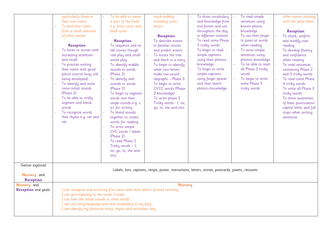|                                                    | particularly those in<br>their own name<br>a part of the book<br>To find their name<br>from a small selection<br>back cover<br>of other names<br><b>Reception</b><br><b>Reception</b><br>To listen to stories with<br>tell stories though<br>increasing attention<br>role play and small<br>and recall<br>world play.<br>To practise writing<br>To identify middle<br>their name with good<br>sounds in words<br>pencil control (may still<br>(Phase 2)<br>being developed)<br>To identify end<br>To identify and write<br>sounds in words<br>some initial sounds<br>(Phase 2)<br>(Phase 2)<br>To be able to orally<br>words into their<br>segment and blend<br>words<br>a-t for writing<br>To recognise words<br>To blend sounds<br>that rhyme e.g. sat and<br>together to create<br>words for reading<br>cat<br>To write simple<br>CVC words / labels<br>(Phase 2)<br>To read Phase 2<br>Tricky words $- I$ ,<br>no, go, to, the and<br>into | To be able to name<br>mark making<br>including some<br>e.g. front cover and<br><b>letters</b><br><b>Reception</b><br>To describe events<br>To sequence and re-<br>in familiar stories<br>and predict events<br>To locate the title<br>and blurb in a story<br>To begin to identify<br>when two letters<br>make one sound<br>(digraph) - Phase 3<br>To begin to write<br><b>CVCC</b> words (Phase<br>To begin to segment<br>2 knowledge)<br>To write phase 2<br>Tricky words - I, no,<br>single sounds e.g. c-<br>go, to, the and into | To draw vocabulary<br>and knowledge from<br>non-fiction and use<br>throughout the day<br>in different contexts<br>To read some Phase<br>3 tricky words<br>To begin to read<br>simple captions<br>using their phonics<br>knowledge<br>To begin to write<br>simple captions<br>using finger spaces<br>and their learnt<br>phonics knowledge | To read simple<br>sentences using<br>known phonic<br>knowledge<br>To use their finger<br>to point at words<br>when reading<br>To write simple<br>sentences using<br>phonics knowledge<br>To be able to read<br>all Phase 3 tricky<br>words<br>To begin to write<br>some Phase 3<br>tricky words | other names starting<br>with the same letter<br><b>Reception</b><br>To check, confirm<br>and modify own<br>reading<br>To develop fluency<br>and confidence<br>when reading<br>To read sentences<br>containing Phase 2<br>and 3 tricky words<br>To read some Phase<br>4 tricky words<br>To write all Phase 3<br>tricky words<br>To show awareness<br>of basic punctuation<br>capital letter and full<br>stops when writing<br>sentences |
|----------------------------------------------------|------------------------------------------------------------------------------------------------------------------------------------------------------------------------------------------------------------------------------------------------------------------------------------------------------------------------------------------------------------------------------------------------------------------------------------------------------------------------------------------------------------------------------------------------------------------------------------------------------------------------------------------------------------------------------------------------------------------------------------------------------------------------------------------------------------------------------------------------------------------------------------------------------------------------------------------------|---------------------------------------------------------------------------------------------------------------------------------------------------------------------------------------------------------------------------------------------------------------------------------------------------------------------------------------------------------------------------------------------------------------------------------------------------------------------------------------------------------------------------------------|-------------------------------------------------------------------------------------------------------------------------------------------------------------------------------------------------------------------------------------------------------------------------------------------------------------------------------------------|-------------------------------------------------------------------------------------------------------------------------------------------------------------------------------------------------------------------------------------------------------------------------------------------------|----------------------------------------------------------------------------------------------------------------------------------------------------------------------------------------------------------------------------------------------------------------------------------------------------------------------------------------------------------------------------------------------------------------------------------------|
| Genres explored<br>Nursery and<br><b>Reception</b> |                                                                                                                                                                                                                                                                                                                                                                                                                                                                                                                                                                                                                                                                                                                                                                                                                                                                                                                                                | Labels, lists, captions, recipe, poster, instructions, letters, stories, postcards, poems, recounts                                                                                                                                                                                                                                                                                                                                                                                                                                   |                                                                                                                                                                                                                                                                                                                                           |                                                                                                                                                                                                                                                                                                 |                                                                                                                                                                                                                                                                                                                                                                                                                                        |
| Nursery and<br><b>Reception</b> end goals          | I can recognise and write my first name with most letters formed correctly<br>I can give meaning to the marks I make<br>I can hear the initial sounds in some words<br>I can use story language and new vocabulary in my play<br>I can identify my favourite story/ rhyme and articulate why                                                                                                                                                                                                                                                                                                                                                                                                                                                                                                                                                                                                                                                   | <b>Nursery</b>                                                                                                                                                                                                                                                                                                                                                                                                                                                                                                                        |                                                                                                                                                                                                                                                                                                                                           |                                                                                                                                                                                                                                                                                                 |                                                                                                                                                                                                                                                                                                                                                                                                                                        |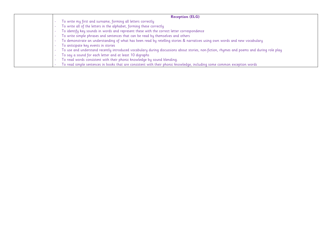| <b>Reception (ELG)</b>                                                                                                                    |
|-------------------------------------------------------------------------------------------------------------------------------------------|
| To write my first and surname, forming all letters correctly                                                                              |
| To write all of the letters in the alphabet, forming these correctly                                                                      |
| To identify key sounds in words and represent these with the correct letter correspondence                                                |
| To write simple phrases and sentences that can be read by themselves and others                                                           |
| To demonstrate an understanding of what has been read by retelling stories & narratives using own words and new vocabulary                |
| To anticipate key events in stories                                                                                                       |
| To use and understand recently introduced vocabulary during discussions about stories, non-fiction, rhymes and poems and during role play |
| To say a sound for each letter and at least 10 digraphs                                                                                   |
| To read words consistent with their phonic knowledge by sound blending.                                                                   |
| To read simple sentences in books that are consistent with their phonic knowledge, including some common exception words                  |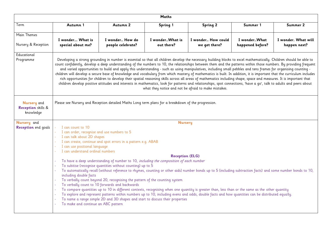|                                                       |                                                                                                                                                                                                                                                                                                                                                                                                                                                                                                                                                                                                                                                                                                                                                                                                                                                                                                                                                                                                                                                                                             |                                                                                                                                                                                                                                                                                                                                                                                                                                                                                                                                                                                                                                                                                                                                                                                                                                                                                                                   | Maths                                    |                                     |                                  |                                     |
|-------------------------------------------------------|---------------------------------------------------------------------------------------------------------------------------------------------------------------------------------------------------------------------------------------------------------------------------------------------------------------------------------------------------------------------------------------------------------------------------------------------------------------------------------------------------------------------------------------------------------------------------------------------------------------------------------------------------------------------------------------------------------------------------------------------------------------------------------------------------------------------------------------------------------------------------------------------------------------------------------------------------------------------------------------------------------------------------------------------------------------------------------------------|-------------------------------------------------------------------------------------------------------------------------------------------------------------------------------------------------------------------------------------------------------------------------------------------------------------------------------------------------------------------------------------------------------------------------------------------------------------------------------------------------------------------------------------------------------------------------------------------------------------------------------------------------------------------------------------------------------------------------------------------------------------------------------------------------------------------------------------------------------------------------------------------------------------------|------------------------------------------|-------------------------------------|----------------------------------|-------------------------------------|
| Term                                                  | Autumn 1                                                                                                                                                                                                                                                                                                                                                                                                                                                                                                                                                                                                                                                                                                                                                                                                                                                                                                                                                                                                                                                                                    | Autumn 2                                                                                                                                                                                                                                                                                                                                                                                                                                                                                                                                                                                                                                                                                                                                                                                                                                                                                                          | Spring 1                                 | <b>Spring 2</b>                     | Summer 1                         | Summer 2                            |
| Main Themes<br>Nursery & Reception                    | I wonder What is<br>special about me?                                                                                                                                                                                                                                                                                                                                                                                                                                                                                                                                                                                                                                                                                                                                                                                                                                                                                                                                                                                                                                                       | I wonder How do<br>people celebrate?                                                                                                                                                                                                                                                                                                                                                                                                                                                                                                                                                                                                                                                                                                                                                                                                                                                                              | I wonderWhat is<br>out there?            | I wonder How could<br>we get there? | I wonderWhat<br>happened before? | I wonder. What will<br>happen next? |
| Educational<br>Programme                              | Developing a strong grounding in number is essential so that all children develop the necessary building blocks to excel mathematically. Children should be able to<br>count confidently, develop a deep understanding of the numbers to 10, the relationships between them and the patterns within those numbers. By providing frequent<br>and varied opportunities to build and apply this understanding - such as using manipulatives, including small pebbles and tens frames for organising counting -<br>children will develop a secure base of knowledge and vocabulary from which mastery of mathematics is built. In addition, it is important that the curriculum includes<br>rich opportunities for children to develop their spatial reasoning skills across all areas of mathematics including shape, space and measures. It is important that<br>children develop positive attitudes and interests in mathematics, look for patterns and relationships, spot connections, 'have a go', talk to adults and peers about<br>what they notice and not be afraid to make mistakes. |                                                                                                                                                                                                                                                                                                                                                                                                                                                                                                                                                                                                                                                                                                                                                                                                                                                                                                                   |                                          |                                     |                                  |                                     |
| Nursery and<br><b>Reception</b> skills &<br>knowledge | Please see Nursery and Reception detailed Maths Long term plans for a breakdown of the progression.                                                                                                                                                                                                                                                                                                                                                                                                                                                                                                                                                                                                                                                                                                                                                                                                                                                                                                                                                                                         |                                                                                                                                                                                                                                                                                                                                                                                                                                                                                                                                                                                                                                                                                                                                                                                                                                                                                                                   |                                          |                                     |                                  |                                     |
| Nursery and<br><b>Reception</b> end goals             | I can count to 10<br>I can order, recognise and use numbers to 5<br>I can talk about 2D shapes<br>I can use positional language<br>I can understand ordinal numbers<br>including double facts<br>To make and continue an ABC pattern                                                                                                                                                                                                                                                                                                                                                                                                                                                                                                                                                                                                                                                                                                                                                                                                                                                        | I can create, continue and spot errors in a pattern e.g. ABAB<br>To have a deep understanding of number to 10, including the composition of each number<br>To subitise (recognise quantities without counting) up to 5<br>To automatically recall (without reference to rhymes, counting or other aids) number bonds up to 5 (including subtraction facts) and some number bonds to 10,<br>To verbally count beyond 20, recognising the pattern of the counting system<br>To verbally count to 10 forwards and backwards<br>To compare quantities up to 10 in different contexts, recognising when one quantity is greater than, less than or the same as the other quantity<br>To explore and represent patterns within numbers up to 10, including evens and odds, double facts and how quantities can be distributed equally.<br>To name a range simple 2D and 3D shapes and start to discuss their properties | <b>Nursery</b><br><b>Reception (ELG)</b> |                                     |                                  |                                     |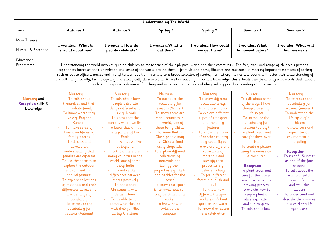|                                                       |                                                                                                                                                                                                                                                                                                                                                                                                                                                                                                                                                                      |                                                                                                                                                                                                                                                                                                                                                                                                                                                                                                                                                                                                                                                                                                                                                                                                                 | <b>Understanding The World</b>                                                                                                                                                                                                                                                                                                                                                                                                                                                                           |                                                                                                                                                                                                                                                                                                                                                                                                                                                                                                         |                                                                                                                                                                                                                                                                                                                                                                                                                                                                                          |                                                                                                                                                                                                                                                                                                                                                                                                                                                       |
|-------------------------------------------------------|----------------------------------------------------------------------------------------------------------------------------------------------------------------------------------------------------------------------------------------------------------------------------------------------------------------------------------------------------------------------------------------------------------------------------------------------------------------------------------------------------------------------------------------------------------------------|-----------------------------------------------------------------------------------------------------------------------------------------------------------------------------------------------------------------------------------------------------------------------------------------------------------------------------------------------------------------------------------------------------------------------------------------------------------------------------------------------------------------------------------------------------------------------------------------------------------------------------------------------------------------------------------------------------------------------------------------------------------------------------------------------------------------|----------------------------------------------------------------------------------------------------------------------------------------------------------------------------------------------------------------------------------------------------------------------------------------------------------------------------------------------------------------------------------------------------------------------------------------------------------------------------------------------------------|---------------------------------------------------------------------------------------------------------------------------------------------------------------------------------------------------------------------------------------------------------------------------------------------------------------------------------------------------------------------------------------------------------------------------------------------------------------------------------------------------------|------------------------------------------------------------------------------------------------------------------------------------------------------------------------------------------------------------------------------------------------------------------------------------------------------------------------------------------------------------------------------------------------------------------------------------------------------------------------------------------|-------------------------------------------------------------------------------------------------------------------------------------------------------------------------------------------------------------------------------------------------------------------------------------------------------------------------------------------------------------------------------------------------------------------------------------------------------|
| Term                                                  | Autumn 1                                                                                                                                                                                                                                                                                                                                                                                                                                                                                                                                                             | Autumn 2                                                                                                                                                                                                                                                                                                                                                                                                                                                                                                                                                                                                                                                                                                                                                                                                        | Spring 1                                                                                                                                                                                                                                                                                                                                                                                                                                                                                                 | <b>Spring 2</b>                                                                                                                                                                                                                                                                                                                                                                                                                                                                                         | Summer 1                                                                                                                                                                                                                                                                                                                                                                                                                                                                                 | Summer 2                                                                                                                                                                                                                                                                                                                                                                                                                                              |
| Main Themes<br>Nursery & Reception                    | I wonder What is<br>special about me?                                                                                                                                                                                                                                                                                                                                                                                                                                                                                                                                | I wonder How do<br>people celebrate?                                                                                                                                                                                                                                                                                                                                                                                                                                                                                                                                                                                                                                                                                                                                                                            | I wonderWhat is<br>out there?                                                                                                                                                                                                                                                                                                                                                                                                                                                                            | I wonder How could<br>we get there?                                                                                                                                                                                                                                                                                                                                                                                                                                                                     | I wonderWhat<br>happened before?                                                                                                                                                                                                                                                                                                                                                                                                                                                         | I wonder. What will<br>happen next?                                                                                                                                                                                                                                                                                                                                                                                                                   |
| Educational<br>Programme                              |                                                                                                                                                                                                                                                                                                                                                                                                                                                                                                                                                                      | Understanding the world involves quiding children to make sense of their physical world and their community. The frequency and range of children's personal<br>experiences increases their knowledge and sense of the world around them - from visiting parks, libraries and museums to meeting important members of society<br>such as police officers, nurses and firefighters. In addition, listening to a broad selection of stories, non-fiction, rhymes and poems will foster their understanding of<br>our culturally, socially, technologically and ecologically diverse world. As well as building important knowledge, this extends their familiarity with words that support<br>understanding across domains. Enriching and widening children's vocabulary will support later reading comprehension. |                                                                                                                                                                                                                                                                                                                                                                                                                                                                                                          |                                                                                                                                                                                                                                                                                                                                                                                                                                                                                                         |                                                                                                                                                                                                                                                                                                                                                                                                                                                                                          |                                                                                                                                                                                                                                                                                                                                                                                                                                                       |
| Nursery and<br><b>Reception</b> skills &<br>knowledge | <b>Nursery</b><br>To talk about<br>themselves and their<br>immediate family<br>To know where they<br>live e.g. England,<br>Runcorn<br>To make sense of<br>their own life using<br>family photos<br>To discuss and<br>develop an<br>understanding that<br>families are different<br>To use their senses to<br>explore the outdoor<br>environment and<br>natural features<br>To explore collections<br>$\omega_{\rm c}$<br>of materials and their<br>differences developing<br>a wide range of<br>vocabulary<br>To introduce the<br>vocabulary for<br>seasons (Autumn) | <b>Nursery</b><br>To talk about how<br>people celebrate<br>things differently to<br>us e.g. Diwali<br>To know that the<br>Earth is where we live<br>To know that a map<br>is a picture of the<br>Earth<br>To know that we live<br>in England<br>To know there are<br>many countries in the<br>world, one of these<br>being India<br>To notice the<br>differences between<br>others positively<br>To know that<br>Christmas is when<br>Jesus is born<br>To be able to talk<br>about what they do<br>with their families<br>during Christmas                                                                                                                                                                                                                                                                      | <b>Nursery</b><br>To introduce the<br>vocabulary for<br>seasons (Winter)<br>To know there are<br>many countries in<br>the world, one of<br>these being China<br>To know that in<br>China people may<br>eat Chinese food<br>using chopsticks<br>To explore different<br>collections of<br>materials and<br>identify their<br>properties e.g. shells<br>and pebbles for the<br>beach<br>To know that space<br>is far away and can<br>only be visited in a<br>rocket<br>To know how to<br>÷.<br>switch on a | <b>Nursery</b><br>To know different<br>occupations e.g.<br>train driver, police<br>To explore different<br>types of transport<br>and there key<br>features<br>To know the name<br>of another country<br>they could fly to<br>To explore different<br>collections of<br>materials and<br>identify their<br>properties e.g.<br>vehicle making<br>To feel different<br>forces e.g. push and<br>pull<br>To know how<br>different transport<br>works e.g. A boat<br>goes on the water<br>To know that Easter | <b>Nursery</b><br>To talk about some<br>of the ways I have<br>changed over my<br>life so far<br>To introduce the<br>vocabulary for<br>seasons (Spring)<br>To plant seeds and<br>care for them over<br>time<br>To create a picture<br>using the mouse on<br>a computer<br>Reception<br>To plant seeds and<br>care for them over<br>time, discussing the<br>growing process<br>To explain how to<br>$\omega$<br>keep a plant a<br>alive e.g. water<br>and sun to grow<br>To talk about how | <b>Nursery</b><br>To introduce the<br>vocabulary for<br>seasons (summer)<br>To understand the<br>life-cycle of a<br>chicken<br>To show care and<br>respect for our<br>environment by<br>recycling<br><b>Reception</b><br>To identify Summer<br>as one of the four<br>seasons<br>To talk about the<br>environmental<br>changes in Summer<br>and why this<br>happens<br>To understand and<br>describe the changes<br>in a chicken's life<br>cycle using |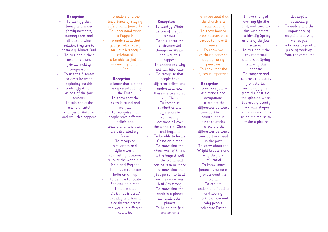| <b>Reception</b>     | To understand the       |                       | To understand that                         | I have changed      | developing            |
|----------------------|-------------------------|-----------------------|--------------------------------------------|---------------------|-----------------------|
| To identify their    | importance of staying   | <b>Reception</b>      | the church is a                            | over my life (the   | vocabulary            |
| family and wider     | safe around fireworks   | To identify Winter    | special building                           | past) and compare   | To understand the     |
| family members,      | To understand what      | as one of the four    | To know how to<br>$\overline{\phantom{a}}$ | this with others    | importance of         |
| naming them and      | a Poppy is              | seasons.              | press buttons on a                         | To identify Spring  | recycling and why     |
| discussing what      | To understand that      | To talk about the     | beebot to make it                          | as one of the four  | we recycle            |
| relation they are to | you get older every     | environmental         | move                                       | seasons.            | To be able to print a |
| them e.g. Mum's Dad  | year your birthday is   | changes in Winter     | To know we                                 | To talk about the   | piece of work off     |
| To talk about their  | celebrated              | and why this          | celebrate pancake                          | environmental       | from the computer     |
| neighbours and       | To be able to find the  | happens               | day by eating                              | changes in Spring   |                       |
| friends making       | camera app on an        | To understand why     | pancakes                                   | and why this        |                       |
| comparisons          | iPad                    | animals hibernate     | To know that the<br>$\sim$                 | happens             |                       |
| To use the 5 senses  |                         | To recognise that     | queen is important                         | To compare and      |                       |
| to describe when     | <b>Reception</b>        | people have           |                                            | contrast characters |                       |
| exploring outside    | To know that a globe    | different beliefs and | <b>Reception</b>                           | from stories,       |                       |
| To identify Autumn   | is a representation of  | understand how        | To explore future                          | including figures   |                       |
| as one of the four   | the Earth               | these are celebrated  | aspirations and                            | from the past e.g.  |                       |
| seasons.             | To know that the        | e.g. China            | occupations                                | the spinning wheel  |                       |
| To talk about the    | Earth is round and      | To recognise          | To explore the                             | in sleeping beauty  |                       |
| environmental        | not flat                | similarities and      | differences between                        | To create shapes    |                       |
| changes in Autumn    | To recognise that       | differences in        | transport in this                          | and change colours  |                       |
| and why this happens | people have different   | contrasting           | country and in                             | using the mouse to  |                       |
|                      | beliefs and             | locations all over    | other countries                            | make a picture      |                       |
|                      | understand how these    | the world e.g. China  | To explore the                             |                     |                       |
|                      | are celebrated e.g.     | and England           | differences between                        |                     |                       |
|                      | India                   | To be able to locate  | transport now and                          |                     |                       |
|                      | To recognise            | China on a map        | in the past                                |                     |                       |
|                      | similarities and        | To know that the      | To know about the                          |                     |                       |
|                      | differences in          | Great wall of China   | Wright brothers and                        |                     |                       |
|                      | contrasting locations   | is the longest wall   | why they are                               |                     |                       |
|                      | all over the world e.g. | in the world and      | influential                                |                     |                       |
|                      | India and England       | can be seen in space  | To know some                               |                     |                       |
|                      | To be able to locate    | To know that the      | famous landmarks                           |                     |                       |
|                      | India on a map          | first person to land  | from around the                            |                     |                       |
|                      | To be able to locate    | on the moon was       | world                                      |                     |                       |
|                      | England on a map        | <b>Neil Armstrong</b> | To explore                                 |                     |                       |
|                      | To know that            | To know that the      | understand floating                        |                     |                       |
|                      | Christmas is Jesus'     | Earth is a planet     | and sinking                                |                     |                       |
|                      | birthday and how it     | alongside other       | To know how and                            |                     |                       |
|                      | is celebrated across    | planets               | why people                                 |                     |                       |
|                      | the world in different  | To be able to find    | celebrate Easter                           |                     |                       |
|                      | countries               | and select a          |                                            |                     |                       |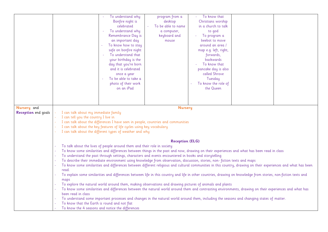|                            | To understand why                                                                                                                                              | program from a                                                                                                                             | To know that                                                                                                                                                    |  |  |  |
|----------------------------|----------------------------------------------------------------------------------------------------------------------------------------------------------------|--------------------------------------------------------------------------------------------------------------------------------------------|-----------------------------------------------------------------------------------------------------------------------------------------------------------------|--|--|--|
|                            | Bonfire night is                                                                                                                                               | desktop                                                                                                                                    | Christians worship                                                                                                                                              |  |  |  |
|                            | celebrated                                                                                                                                                     | To be able to name                                                                                                                         | in a church to talk                                                                                                                                             |  |  |  |
|                            | To understand why                                                                                                                                              |                                                                                                                                            |                                                                                                                                                                 |  |  |  |
|                            |                                                                                                                                                                | a computer,                                                                                                                                | to god                                                                                                                                                          |  |  |  |
|                            | Remembrance Day is                                                                                                                                             | keyboard and                                                                                                                               | To program a                                                                                                                                                    |  |  |  |
|                            | an important day                                                                                                                                               | mouse                                                                                                                                      | beebot to move                                                                                                                                                  |  |  |  |
|                            | To know how to stay                                                                                                                                            |                                                                                                                                            | around an area /                                                                                                                                                |  |  |  |
|                            | safe on bonfire night                                                                                                                                          |                                                                                                                                            | map e.g. left, right,                                                                                                                                           |  |  |  |
|                            | To understand that                                                                                                                                             |                                                                                                                                            | forwards,                                                                                                                                                       |  |  |  |
|                            | your birthday is the                                                                                                                                           |                                                                                                                                            | backwards                                                                                                                                                       |  |  |  |
|                            | day that you're born                                                                                                                                           |                                                                                                                                            | To know that                                                                                                                                                    |  |  |  |
|                            | and it is celebrated                                                                                                                                           |                                                                                                                                            | pancake day is also                                                                                                                                             |  |  |  |
|                            | once a year                                                                                                                                                    |                                                                                                                                            | called Shrove                                                                                                                                                   |  |  |  |
|                            | To be able to take a                                                                                                                                           |                                                                                                                                            | Tuesday                                                                                                                                                         |  |  |  |
|                            | photo of their work                                                                                                                                            |                                                                                                                                            | To know the role of                                                                                                                                             |  |  |  |
|                            | on an iPad                                                                                                                                                     |                                                                                                                                            | the Queen                                                                                                                                                       |  |  |  |
|                            |                                                                                                                                                                |                                                                                                                                            |                                                                                                                                                                 |  |  |  |
|                            |                                                                                                                                                                |                                                                                                                                            |                                                                                                                                                                 |  |  |  |
|                            |                                                                                                                                                                |                                                                                                                                            |                                                                                                                                                                 |  |  |  |
| Nursery and                |                                                                                                                                                                | <b>Nursery</b>                                                                                                                             |                                                                                                                                                                 |  |  |  |
| <b>Reception</b> end goals | I can talk about my immediate family                                                                                                                           |                                                                                                                                            |                                                                                                                                                                 |  |  |  |
|                            | I can tell you the country I live in                                                                                                                           |                                                                                                                                            |                                                                                                                                                                 |  |  |  |
|                            | I can talk about the differences I have seen in people, countries and communities                                                                              |                                                                                                                                            |                                                                                                                                                                 |  |  |  |
|                            | I can talk about the key features of life cycles using key vocabulary                                                                                          |                                                                                                                                            |                                                                                                                                                                 |  |  |  |
|                            | I can talk about the different types of weather and why                                                                                                        |                                                                                                                                            |                                                                                                                                                                 |  |  |  |
|                            |                                                                                                                                                                |                                                                                                                                            |                                                                                                                                                                 |  |  |  |
|                            | <b>Reception (ELG)</b>                                                                                                                                         |                                                                                                                                            |                                                                                                                                                                 |  |  |  |
|                            | To talk about the lives of people around them and their role in society                                                                                        |                                                                                                                                            |                                                                                                                                                                 |  |  |  |
|                            |                                                                                                                                                                | To know some similarities and differences between things in the past and now, drawing on their experiences and what has been read in class |                                                                                                                                                                 |  |  |  |
|                            | To understand the past through settings, characters and events encountered in books and storytelling                                                           |                                                                                                                                            |                                                                                                                                                                 |  |  |  |
|                            | To describe their immediate environment using knowledge from observation, discussion, stories, non-fiction texts and maps                                      |                                                                                                                                            |                                                                                                                                                                 |  |  |  |
|                            | To know some similarities and differences between different religious and cultural communities in this country, drawing on their experiences and what has been |                                                                                                                                            |                                                                                                                                                                 |  |  |  |
|                            | read.                                                                                                                                                          |                                                                                                                                            |                                                                                                                                                                 |  |  |  |
|                            | $\omega$                                                                                                                                                       |                                                                                                                                            | To explain some similarities and differences between life in this country and life in other countries, drawing on knowledge from stories, non-fiction texts and |  |  |  |
|                            | maps                                                                                                                                                           |                                                                                                                                            |                                                                                                                                                                 |  |  |  |
|                            | To explore the natural world around them, making observations and drawing pictures of animals and plants                                                       |                                                                                                                                            |                                                                                                                                                                 |  |  |  |
|                            |                                                                                                                                                                |                                                                                                                                            | To know some similarities and differences between the natural world around them and contrasting environments, drawing on their experiences and what has         |  |  |  |
|                            | been read in class                                                                                                                                             |                                                                                                                                            |                                                                                                                                                                 |  |  |  |
|                            |                                                                                                                                                                |                                                                                                                                            | To understand some important processes and changes in the natural world around them, including the seasons and changing states of matter.                       |  |  |  |
|                            | To know that the Earth is round and not flat                                                                                                                   |                                                                                                                                            |                                                                                                                                                                 |  |  |  |
|                            | To know the 4 seasons and notice the differences                                                                                                               |                                                                                                                                            |                                                                                                                                                                 |  |  |  |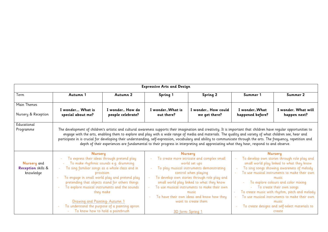|                                                                                                                                                                                                                     | <b>Expressive Arts and Design</b>                                                    |                                                                            |                                                                                        |                                                                                                                                                                                                                                                                                                                                                                                                                                                                                                                                                                                                                                                   |                                                                                           |                                                |  |
|---------------------------------------------------------------------------------------------------------------------------------------------------------------------------------------------------------------------|--------------------------------------------------------------------------------------|----------------------------------------------------------------------------|----------------------------------------------------------------------------------------|---------------------------------------------------------------------------------------------------------------------------------------------------------------------------------------------------------------------------------------------------------------------------------------------------------------------------------------------------------------------------------------------------------------------------------------------------------------------------------------------------------------------------------------------------------------------------------------------------------------------------------------------------|-------------------------------------------------------------------------------------------|------------------------------------------------|--|
| Term                                                                                                                                                                                                                | Autumn 1                                                                             | Autumn 2                                                                   | Spring 1                                                                               | <b>Spring 2</b>                                                                                                                                                                                                                                                                                                                                                                                                                                                                                                                                                                                                                                   | Summer 1                                                                                  | Summer 2                                       |  |
| Main Themes                                                                                                                                                                                                         |                                                                                      |                                                                            |                                                                                        |                                                                                                                                                                                                                                                                                                                                                                                                                                                                                                                                                                                                                                                   |                                                                                           |                                                |  |
| Nursery & Reception                                                                                                                                                                                                 | I wonder What is<br>special about me?                                                | I wonder How do<br>people celebrate?                                       | I wonderWhat is<br>out there?                                                          | I wonder How could<br>we get there?                                                                                                                                                                                                                                                                                                                                                                                                                                                                                                                                                                                                               | I wonderWhat<br>happened before?                                                          | I wonder. What will<br>happen next?            |  |
| Educational<br>Programme                                                                                                                                                                                            |                                                                                      |                                                                            |                                                                                        | The development of children's artistic and cultural awareness supports their imagination and creativity. It is important that children have regular opportunities to<br>engage with the arts, enabling them to explore and play with a wide range of media and materials. The quality and variety of what children see, hear and<br>participate in is crucial for developing their understanding, self-expression, vocabulary and ability to communicate through the arts. The frequency, repetition and<br>depth of their experiences are fundamental to their progress in interpreting and appreciating what they hear, respond to and observe. |                                                                                           |                                                |  |
|                                                                                                                                                                                                                     | <b>Nursery</b>                                                                       |                                                                            |                                                                                        | <b>Nursery</b><br>To create more intricate and complex small                                                                                                                                                                                                                                                                                                                                                                                                                                                                                                                                                                                      |                                                                                           | <b>Nursery</b>                                 |  |
| <b>Nursery</b> and                                                                                                                                                                                                  | To express their ideas through pretend play<br>To make rhythmic sounds e.g. drumming |                                                                            | world set ups                                                                          |                                                                                                                                                                                                                                                                                                                                                                                                                                                                                                                                                                                                                                                   | To develop own stories through role play and<br>small world play linked to what they know |                                                |  |
| <b>Reception</b> skills &                                                                                                                                                                                           |                                                                                      | To sing familiar songs as a whole class and in                             | To play musical instruments demonstrating<br>To sing songs showing awareness of melody |                                                                                                                                                                                                                                                                                                                                                                                                                                                                                                                                                                                                                                                   |                                                                                           |                                                |  |
| knowledge                                                                                                                                                                                                           |                                                                                      | provision                                                                  | To use musical instruments to make their own<br>control when playing<br>÷.             |                                                                                                                                                                                                                                                                                                                                                                                                                                                                                                                                                                                                                                                   |                                                                                           |                                                |  |
|                                                                                                                                                                                                                     |                                                                                      | To engage in small world play and pretend play                             | To develop own stories through role play and                                           |                                                                                                                                                                                                                                                                                                                                                                                                                                                                                                                                                                                                                                                   |                                                                                           | music                                          |  |
| pretending that objects stand for others things<br>small world play linked to what they know<br>To explore musical instruments and the sounds<br>To use musical instruments to make their own<br>they make<br>music |                                                                                      |                                                                            | To explore colours and color mixing                                                    |                                                                                                                                                                                                                                                                                                                                                                                                                                                                                                                                                                                                                                                   |                                                                                           |                                                |  |
|                                                                                                                                                                                                                     |                                                                                      | To create their own songs<br>To create music with rhythm, pitch and melody |                                                                                        |                                                                                                                                                                                                                                                                                                                                                                                                                                                                                                                                                                                                                                                   |                                                                                           |                                                |  |
|                                                                                                                                                                                                                     |                                                                                      |                                                                            |                                                                                        | To have their own ideas and know how they                                                                                                                                                                                                                                                                                                                                                                                                                                                                                                                                                                                                         | ÷.                                                                                        | To use musical instruments to make their own   |  |
|                                                                                                                                                                                                                     | Drawing and Painting-Autumn 1                                                        |                                                                            |                                                                                        | want to create them                                                                                                                                                                                                                                                                                                                                                                                                                                                                                                                                                                                                                               |                                                                                           | music                                          |  |
|                                                                                                                                                                                                                     |                                                                                      | To understand the purpose of a painting apron                              |                                                                                        |                                                                                                                                                                                                                                                                                                                                                                                                                                                                                                                                                                                                                                                   | $\omega$                                                                                  | To create designs and self-select materials to |  |
|                                                                                                                                                                                                                     |                                                                                      | To know how to hold a paintbrush                                           |                                                                                        | 3D_form-Spring 1                                                                                                                                                                                                                                                                                                                                                                                                                                                                                                                                                                                                                                  |                                                                                           | create                                         |  |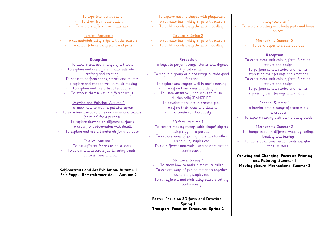| To experiment with paint                                                                                                                                                                                                                                                                                                                                                                                                                                                                                                                                                                                                                                                                                                                                                                                       | To explore making shapes with playdough                                                                                                                                                                                                                                                                                                                                                                                                                                                                                                                                                                                                                                                                                                                                                                                                                      |                                                                                                                                                                                                                                                                                                                                                                                                                                                                                                                                                                                                                                                                                                                                                |
|----------------------------------------------------------------------------------------------------------------------------------------------------------------------------------------------------------------------------------------------------------------------------------------------------------------------------------------------------------------------------------------------------------------------------------------------------------------------------------------------------------------------------------------------------------------------------------------------------------------------------------------------------------------------------------------------------------------------------------------------------------------------------------------------------------------|--------------------------------------------------------------------------------------------------------------------------------------------------------------------------------------------------------------------------------------------------------------------------------------------------------------------------------------------------------------------------------------------------------------------------------------------------------------------------------------------------------------------------------------------------------------------------------------------------------------------------------------------------------------------------------------------------------------------------------------------------------------------------------------------------------------------------------------------------------------|------------------------------------------------------------------------------------------------------------------------------------------------------------------------------------------------------------------------------------------------------------------------------------------------------------------------------------------------------------------------------------------------------------------------------------------------------------------------------------------------------------------------------------------------------------------------------------------------------------------------------------------------------------------------------------------------------------------------------------------------|
| To draw from observation                                                                                                                                                                                                                                                                                                                                                                                                                                                                                                                                                                                                                                                                                                                                                                                       | To cut materials making snips with scissors<br>$\omega$                                                                                                                                                                                                                                                                                                                                                                                                                                                                                                                                                                                                                                                                                                                                                                                                      |                                                                                                                                                                                                                                                                                                                                                                                                                                                                                                                                                                                                                                                                                                                                                |
| To explore different art materials                                                                                                                                                                                                                                                                                                                                                                                                                                                                                                                                                                                                                                                                                                                                                                             | To build models using the junk modelling                                                                                                                                                                                                                                                                                                                                                                                                                                                                                                                                                                                                                                                                                                                                                                                                                     | <b>Printing-Summer 1</b><br>To explore printing with body parts and loose<br>objects                                                                                                                                                                                                                                                                                                                                                                                                                                                                                                                                                                                                                                                           |
| Textiles-Autumn 2                                                                                                                                                                                                                                                                                                                                                                                                                                                                                                                                                                                                                                                                                                                                                                                              | <b>Structures Spring 2</b>                                                                                                                                                                                                                                                                                                                                                                                                                                                                                                                                                                                                                                                                                                                                                                                                                                   |                                                                                                                                                                                                                                                                                                                                                                                                                                                                                                                                                                                                                                                                                                                                                |
| To cut materials using snips with the scissors                                                                                                                                                                                                                                                                                                                                                                                                                                                                                                                                                                                                                                                                                                                                                                 | To cut materials making snips with scissors                                                                                                                                                                                                                                                                                                                                                                                                                                                                                                                                                                                                                                                                                                                                                                                                                  | Mechanisms- Summer 2                                                                                                                                                                                                                                                                                                                                                                                                                                                                                                                                                                                                                                                                                                                           |
| To colour fabrics using paint and pens                                                                                                                                                                                                                                                                                                                                                                                                                                                                                                                                                                                                                                                                                                                                                                         | To build models using the junk modelling                                                                                                                                                                                                                                                                                                                                                                                                                                                                                                                                                                                                                                                                                                                                                                                                                     | To bend paper to create pop-ups                                                                                                                                                                                                                                                                                                                                                                                                                                                                                                                                                                                                                                                                                                                |
|                                                                                                                                                                                                                                                                                                                                                                                                                                                                                                                                                                                                                                                                                                                                                                                                                |                                                                                                                                                                                                                                                                                                                                                                                                                                                                                                                                                                                                                                                                                                                                                                                                                                                              |                                                                                                                                                                                                                                                                                                                                                                                                                                                                                                                                                                                                                                                                                                                                                |
| <b>Reception</b><br>To explore and use a range of art tools<br>To explore and use different materials when<br>crafting and creating<br>To begin to perform songs, stories and rhymes<br>To explore and engage well in music making<br>To explore and use artistic techniques<br>To express themselves in different ways<br>Drawing and Painting-Autumn 1<br>To know how to wear a painting apron<br>To experiment with colours and make new colours<br>(painting) for a purpose<br>To explore drawing on different surfaces<br>To draw from observation with details<br>To explore and use art materials for a purpose<br>Textiles-Autumn 2<br>To cut different fabrics using scissors<br>To colour and decorate fabrics using beads,<br>buttons, pens and paint<br>Self-portraits and Art Exhibition-Autumn 1 | <b>Reception</b><br>To begin to perform songs, stories and rhymes<br>(lyrical recital)<br>To sing in a group or alone (stage outside good<br>for this)<br>To explore and engage well in music making<br>- To refine their ideas and designs<br>To listen attentively and move to music<br>rhythmically (DANCE PE)<br>To develop storylines in pretend play<br>$\omega$<br>To refine their ideas and designs<br>$\omega$<br>- To create collaboratively<br>3D form- Autumn 1<br>To explore making recognisable shape/objects<br>using clay for a purpose<br>To explore ways of joining materials together<br>using glue, staples etc<br>To cut different materials using scissors cutting<br>continuously<br><b>Structures Spring 2</b><br>To know how to make a structure taller<br>To explore ways of joining materials together<br>using glue, staples etc | <b>Reception</b><br>To experiment with colour, form, function,<br>texture and design<br>To perform songs, stories and rhymes<br>expressing their feelings and emotions<br>To experiment with colour, form, function,<br>texture and design<br>To perform songs, stories and rhymes<br>expressing their feelings and emotions<br><b>Printing-Summer 1</b><br>To imprint onto a range of textures e.g.<br>newspaper<br>To explore making their own printing block<br>Mechanisms- Summer 2<br>To change paper in different ways by curling,<br>bending and tearing<br>To name basic construction tools e.g. glue,<br>tape, scissors.<br>Growing and Changing- Focus on Printing<br>and Painting- Summer 1<br>Moving picture- Mechanisms- Summer 2 |
| Felt Poppy- Remembrance day - Autumn 2                                                                                                                                                                                                                                                                                                                                                                                                                                                                                                                                                                                                                                                                                                                                                                         | To cut different materials using scissors cutting<br>$\overline{\phantom{a}}$<br>continuously                                                                                                                                                                                                                                                                                                                                                                                                                                                                                                                                                                                                                                                                                                                                                                |                                                                                                                                                                                                                                                                                                                                                                                                                                                                                                                                                                                                                                                                                                                                                |
|                                                                                                                                                                                                                                                                                                                                                                                                                                                                                                                                                                                                                                                                                                                                                                                                                | Easter- Focus on 3D form and Drawing -<br>Spring 1<br>Transport- Focus on Structures- Spring 2                                                                                                                                                                                                                                                                                                                                                                                                                                                                                                                                                                                                                                                                                                                                                               |                                                                                                                                                                                                                                                                                                                                                                                                                                                                                                                                                                                                                                                                                                                                                |
|                                                                                                                                                                                                                                                                                                                                                                                                                                                                                                                                                                                                                                                                                                                                                                                                                |                                                                                                                                                                                                                                                                                                                                                                                                                                                                                                                                                                                                                                                                                                                                                                                                                                                              |                                                                                                                                                                                                                                                                                                                                                                                                                                                                                                                                                                                                                                                                                                                                                |